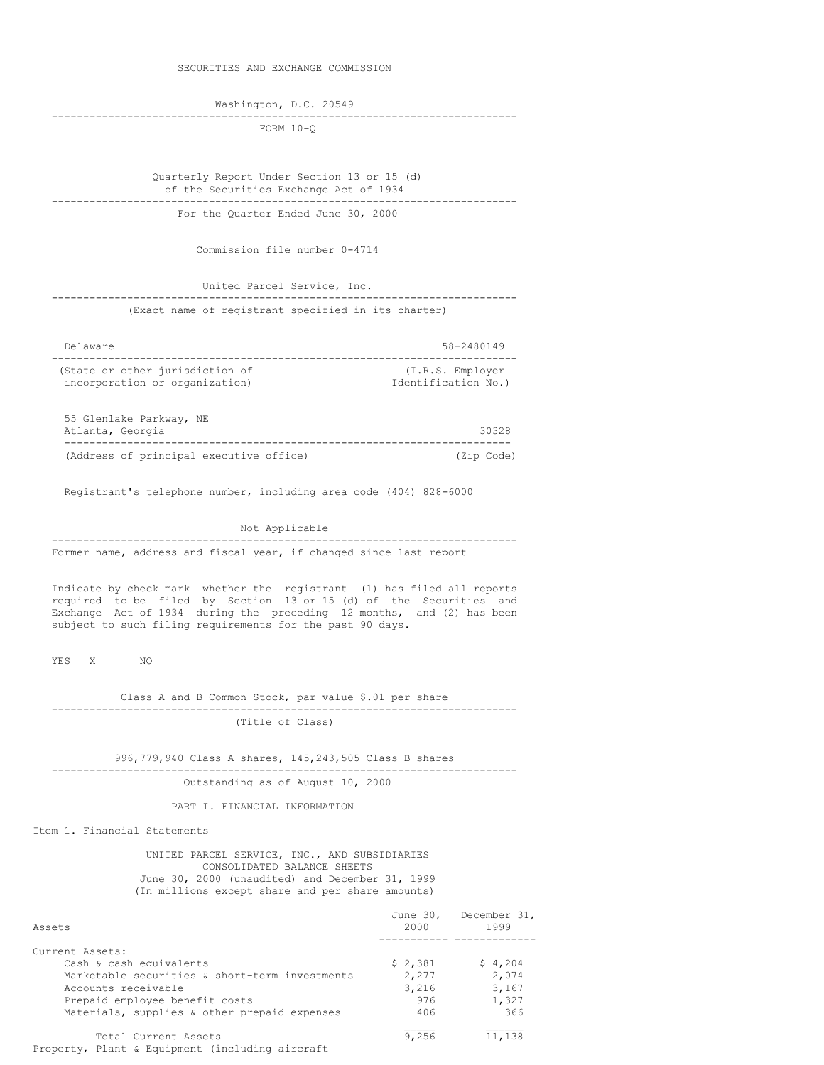SECURITIES AND EXCHANGE COMMISSION

Washington, D.C. 20549

-------------------------------------------------------------------------- FORM 10-Q

Quarterly Report Under Section 13 or 15 (d) of the Securities Exchange Act of 1934 --------------------------------------------------------------------------

For the Quarter Ended June 30, 2000

Commission file number 0-4714

United Parcel Service, Inc. -------------------------------------------------------------------------- (Exact name of registrant specified in its charter)

Delaware 58-2480149 -------------------------------------------------------------------------- (State or other jurisdiction of  $(1,R.S.$  Employer incorporation or organization)  $\qquad \qquad$  Identification No.) incorporation or organization)

55 Glenlake Parkway, NE Atlanta, Georgia 30328 ----------------------------------------------------------------------- (Address of principal executive office)

Registrant's telephone number, including area code (404) 828-6000

Not Applicable

-------------------------------------------------------------------------- Former name, address and fiscal year, if changed since last report

Indicate by check mark whether the registrant (1) has filed all reports required to be filed by Section 13 or 15 (d) of the Securities and Exchange Act of 1934 during the preceding 12 months, and (2) has been subject to such filing requirements for the past 90 days.

YES X NO

Class A and B Common Stock, par value \$.01 per share -------------------------------------------------------------------------- (Title of Class)

996,779,940 Class A shares, 145,243,505 Class B shares -------------------------------------------------------------------------- Outstanding as of August 10, 2000

PART I. FINANCIAL INFORMATION

Item 1. Financial Statements

UNITED PARCEL SERVICE, INC., AND SUBSIDIARIES CONSOLIDATED BALANCE SHEETS June 30, 2000 (unaudited) and December 31, 1999 (In millions except share and per share amounts)

| Assets                                          | June 30,<br>2000 | December 31,<br>1999 |
|-------------------------------------------------|------------------|----------------------|
|                                                 |                  |                      |
| Current Assets:                                 |                  |                      |
| Cash & cash equivalents                         | \$2,381          | \$4,204              |
| Marketable securities & short-term investments  | 2,277            | 2,074                |
| Accounts receivable                             | 3,216            | 3,167                |
| Prepaid employee benefit costs                  | 976              | 1,327                |
| Materials, supplies & other prepaid expenses    | 406              | 366                  |
| Total Current Assets                            | 9,256            | 11,138               |
| Property, Plant & Equipment (including aircraft |                  |                      |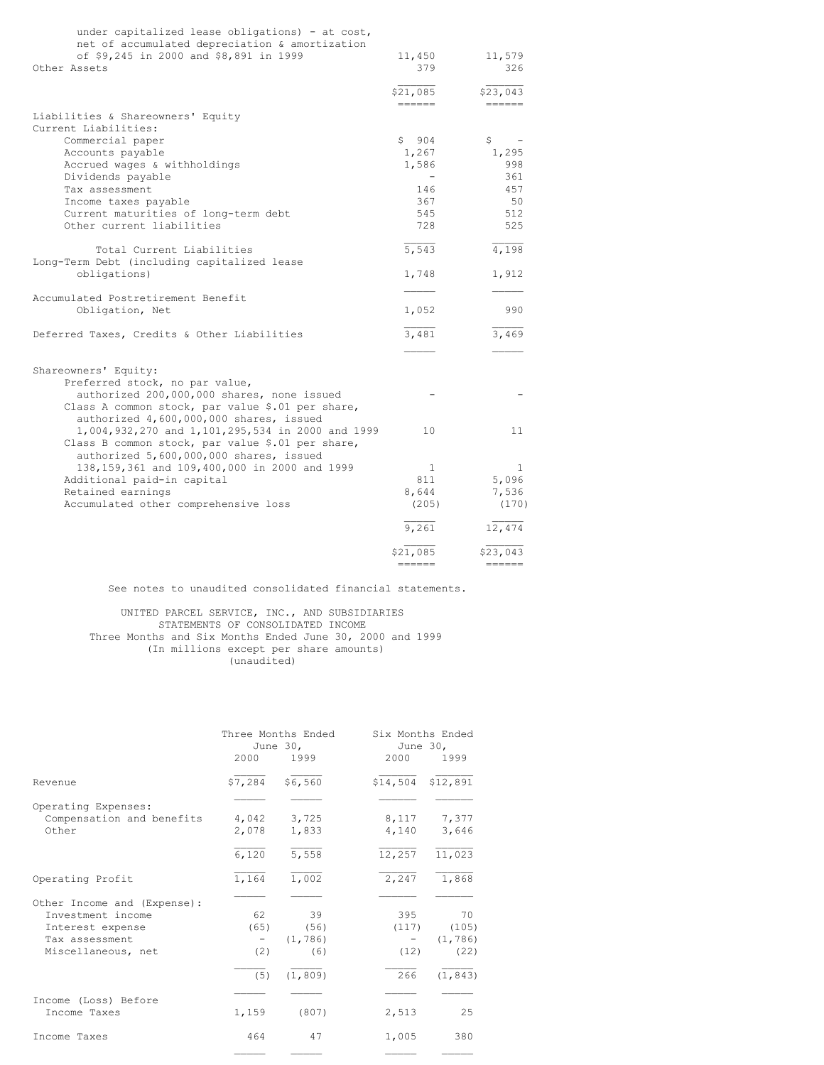| under capitalized lease obligations) - at cost,                              |                    |                   |
|------------------------------------------------------------------------------|--------------------|-------------------|
| net of accumulated depreciation & amortization                               |                    |                   |
| of \$9,245 in 2000 and \$8,891 in 1999<br>Other Assets                       | 11,450<br>379      | 11,579<br>326     |
|                                                                              |                    |                   |
|                                                                              | \$21,085           | \$23,043          |
|                                                                              | ------             | ====              |
| Liabilities & Shareowners' Equity                                            |                    |                   |
| Current Liabilities:                                                         |                    |                   |
| Commercial paper                                                             | 904<br>S           | \$                |
| Accounts payable                                                             | 1,267              | 1,295             |
| Accrued wages & withholdings                                                 | 1,586              | 998               |
| Dividends payable                                                            |                    | 361               |
| Tax assessment                                                               | 146                | 457               |
| Income taxes payable                                                         | 367                | 50                |
| Current maturities of long-term debt                                         | 545                | 512               |
| Other current liabilities                                                    | 728                | 525               |
| Total Current Liabilities                                                    | $\overline{5,543}$ | $\frac{1}{4,198}$ |
| Long-Term Debt (including capitalized lease                                  |                    |                   |
| obligations)                                                                 | 1,748              | 1,912             |
|                                                                              |                    |                   |
| Accumulated Postretirement Benefit                                           |                    |                   |
| Obligation, Net                                                              | 1,052              | 990               |
|                                                                              |                    |                   |
| Deferred Taxes, Credits & Other Liabilities                                  | $\frac{1}{3,481}$  | 3,469             |
|                                                                              |                    |                   |
|                                                                              |                    |                   |
| Shareowners' Equity:                                                         |                    |                   |
| Preferred stock, no par value,<br>authorized 200,000,000 shares, none issued |                    |                   |
| Class A common stock, par value \$.01 per share,                             |                    |                   |
| authorized 4,600,000,000 shares, issued                                      |                    |                   |
| 1,004,932,270 and 1,101,295,534 in 2000 and 1999                             | 10                 | 11                |
| Class B common stock, par value \$.01 per share,                             |                    |                   |
| authorized 5,600,000,000 shares, issued                                      |                    |                   |
| 138, 159, 361 and 109, 400, 000 in 2000 and 1999                             | 1                  | 1                 |
| Additional paid-in capital                                                   | 811                | 5,096             |
| Retained earnings                                                            | 8,644              | 7,536             |
| Accumulated other comprehensive loss                                         | (205)              | (170)             |
|                                                                              | 9,261              | 12,474            |
|                                                                              |                    |                   |
|                                                                              | \$21,085           | \$23,043          |
|                                                                              | ======             | ------            |

See notes to unaudited consolidated financial statements.

## UNITED PARCEL SERVICE, INC., AND SUBSIDIARIES STATEMENTS OF CONSOLIDATED INCOME Three Months and Six Months Ended June 30, 2000 and 1999 (In millions except per share amounts) (unaudited)

|                                                                                                              | 2000                             | Three Months Ended<br>June 30.<br>1999    | Six Months Ended<br>June 30,<br>2000  | 1999                                        |
|--------------------------------------------------------------------------------------------------------------|----------------------------------|-------------------------------------------|---------------------------------------|---------------------------------------------|
| Revenue                                                                                                      | \$7,284                          | \$6,560                                   | \$14,504 \$12,891                     |                                             |
| Operating Expenses:<br>Compensation and benefits<br>Other                                                    | 4,042<br>2,078                   | 3,725<br>1,833<br>5,558                   | 8,117<br>4,140                        | 7,377<br>3,646                              |
| Operating Profit                                                                                             | 6,120<br>1,164                   | 1,002                                     | 12,257<br>2,247                       | 11,023<br>1,868                             |
| Other Income and (Expense):<br>Investment income<br>Interest expense<br>Tax assessment<br>Miscellaneous, net | 62.<br>(65)<br>$-$<br>(2)<br>(5) | 39<br>(56)<br>(1, 786)<br>(6)<br>(1, 809) | 395<br>(117)<br>$\sim$<br>(12)<br>266 | 70<br>(105)<br>(1, 786)<br>(22)<br>(1, 843) |
| Income (Loss) Before<br>Income Taxes                                                                         | 1,159                            | (807)                                     | 2,513                                 | 25                                          |
| Income Taxes                                                                                                 | 464                              | 47                                        | 1,005                                 | 380                                         |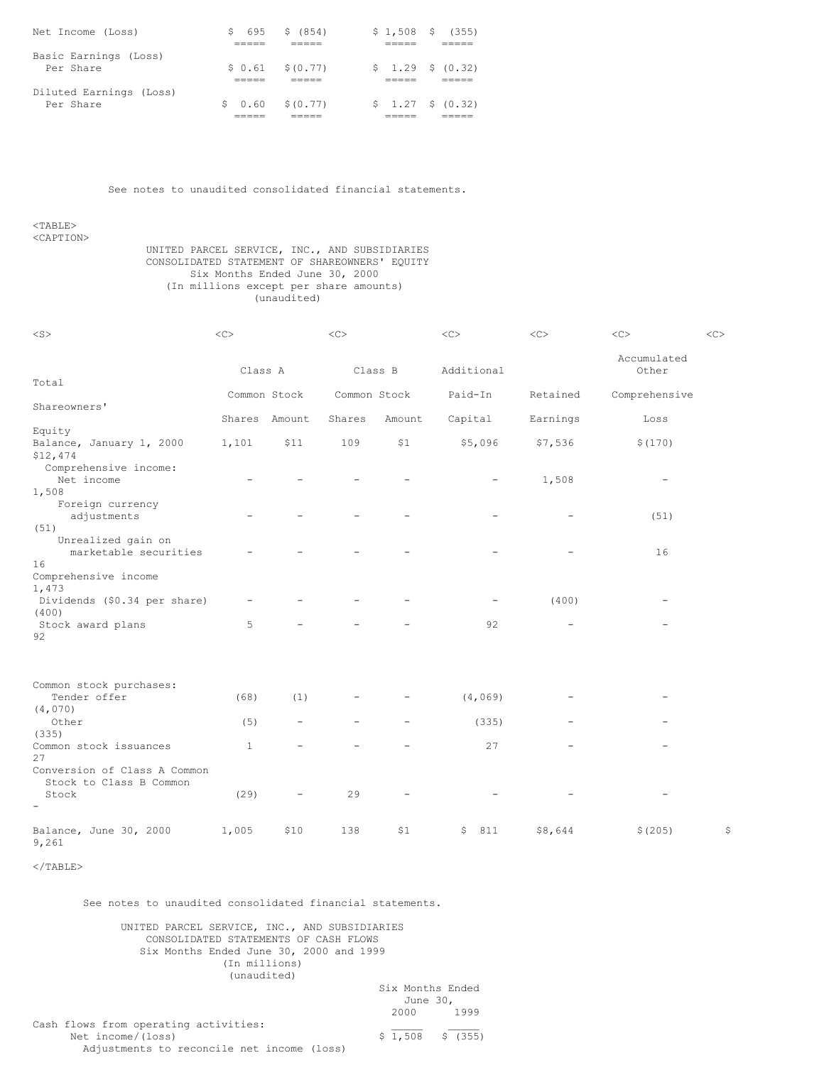| Net Income (Loss)       | 695 -<br>S. | \$ (854)          | $$1,508$ \$ (355)  |
|-------------------------|-------------|-------------------|--------------------|
|                         |             |                   |                    |
| Basic Earnings (Loss)   |             |                   |                    |
| Per Share               |             | $$0.61$ $$(0.77)$ | \$1.29\$6(0.32)    |
|                         |             |                   |                    |
| Diluted Earnings (Loss) |             |                   |                    |
| Per Share               |             | $$0.60$ $$(0.77)$ | $$1.27 \t$ (0.32)$ |
|                         |             |                   |                    |

See notes to unaudited consolidated financial statements.

<TABLE> <CAPTION>

#### UNITED PARCEL SERVICE, INC., AND SUBSIDIARIES CONSOLIDATED STATEMENT OF SHAREOWNERS' EQUITY Six Months Ended June 30, 2000 (In millions except per share amounts) (unaudited)

| $<$ S $>$                                                                  | <<           |                          | $<\infty$      |         | <<         | $<$ C>   | $<\infty$                | << |
|----------------------------------------------------------------------------|--------------|--------------------------|----------------|---------|------------|----------|--------------------------|----|
|                                                                            | Class A      |                          |                | Class B | Additional |          | Accumulated<br>Other     |    |
| Total                                                                      |              | Common Stock             | Common Stock   |         | Paid-In    | Retained | Comprehensive            |    |
| Shareowners'                                                               | Shares       | Amount                   | Shares         | Amount  | Capital    | Earnings | Loss                     |    |
| Equity                                                                     |              |                          |                |         |            |          |                          |    |
| Balance, January 1, 2000<br>\$12,474                                       | 1,101        | \$11                     | 109            | \$1     | \$5,096    | \$7,536  | \$(170)                  |    |
| Comprehensive income:<br>Net income                                        |              |                          |                |         |            | 1,508    | $\overline{\phantom{0}}$ |    |
| 1,508<br>Foreign currency<br>adjustments<br>(51)                           |              |                          |                |         |            |          | (51)                     |    |
| Unrealized gain on<br>marketable securities<br>16                          |              |                          |                |         |            |          | 16                       |    |
| Comprehensive income<br>1,473<br>Dividends (\$0.34 per share)              |              |                          |                |         |            | (400)    |                          |    |
| (400)                                                                      | 5            |                          |                |         | 92         |          |                          |    |
| Stock award plans<br>92                                                    |              |                          |                |         |            |          |                          |    |
| Common stock purchases:                                                    |              |                          |                |         |            |          |                          |    |
| Tender offer<br>(4,070)                                                    | (68)         | (1)                      |                |         | (4, 069)   |          |                          |    |
| Other<br>(335)                                                             | (5)          | $\overline{\phantom{a}}$ | $\overline{a}$ |         | (335)      |          |                          |    |
| Common stock issuances<br>27                                               | $\mathbf{1}$ |                          |                |         | 27         |          |                          |    |
| Conversion of Class A Common<br>Stock to Class B Common<br>Stock<br>$\sim$ | (29)         |                          | 29             |         |            |          |                          |    |
|                                                                            |              |                          |                |         |            |          |                          |    |
| Balance, June 30, 2000<br>9,261                                            | 1,005        | \$10                     | 138            | \$1     | \$<br>811  | \$8,644  | \$(205)                  | \$ |

 $<$ /TABLE>

See notes to unaudited consolidated financial statements.

## UNITED PARCEL SERVICE, INC., AND SUBSIDIARIES CONSOLIDATED STATEMENTS OF CASH FLOWS Six Months Ended June 30, 2000 and 1999 (In millions) (unaudited)

# Six Months Ended June 30, 2000 1999 Cash flows from operating activities:<br>Net income/(loss)  $\begin{array}{ccc} \xi & 1,508 \\ \xi & 1,508 \end{array}$

Net income/(loss) Adjustments to reconcile net income (loss)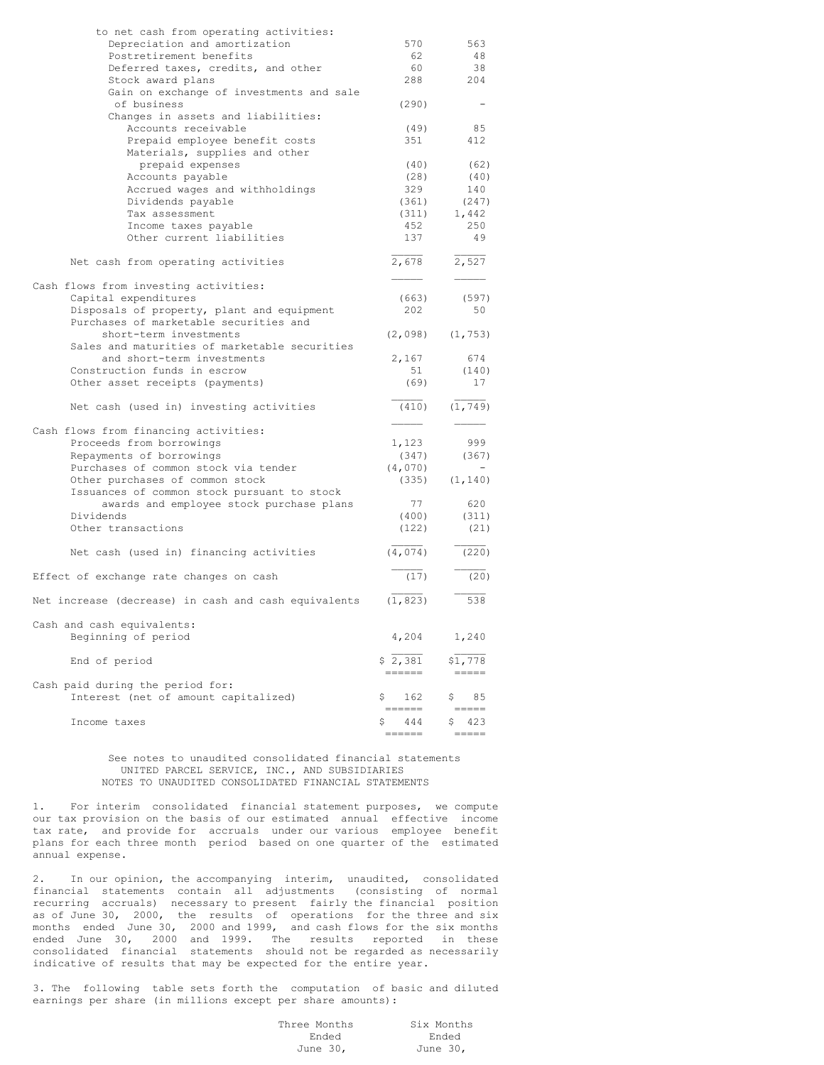| to net cash from operating activities:               |           |          |
|------------------------------------------------------|-----------|----------|
| Depreciation and amortization                        | 570       | 563      |
| Postretirement benefits                              | 62        | 48       |
| Deferred taxes, credits, and other                   | 60        | 38       |
| Stock award plans                                    | 288       | 204      |
| Gain on exchange of investments and sale             |           |          |
| of business                                          | (290)     |          |
|                                                      |           |          |
| Changes in assets and liabilities:                   |           |          |
| Accounts receivable                                  | (49)      | 85       |
| Prepaid employee benefit costs                       | 351       | 412      |
| Materials, supplies and other                        |           |          |
| prepaid expenses                                     | (40)      | (62)     |
| Accounts payable                                     | (28)      | (40)     |
| Accrued wages and withholdings                       | 329       | 140      |
| Dividends payable                                    | (361)     | (247)    |
| Tax assessment                                       | (311)     | 1,442    |
| Income taxes payable                                 | 452       | 250      |
|                                                      | 137       | 49       |
| Other current liabilities                            |           |          |
|                                                      |           |          |
| Net cash from operating activities                   | 2,678     | 2,527    |
|                                                      |           |          |
| Cash flows from investing activities:                |           |          |
| Capital expenditures                                 | (663)     | (597)    |
| Disposals of property, plant and equipment           | 202       | 50       |
| Purchases of marketable securities and               |           |          |
| short-term investments                               | (2,098)   | (1, 753) |
| Sales and maturities of marketable securities        |           |          |
| and short-term investments                           | 2,167     | 674      |
|                                                      |           |          |
| Construction funds in escrow                         | 51        | (140)    |
| Other asset receipts (payments)                      | (69)      | 17       |
|                                                      |           |          |
| Net cash (used in) investing activities              | (410)     | (1, 749) |
|                                                      |           |          |
| Cash flows from financing activities:                |           |          |
| Proceeds from borrowings                             | 1,123     | 999      |
| Repayments of borrowings                             | (347)     | (367)    |
| Purchases of common stock via tender                 | (4,070)   |          |
| Other purchases of common stock                      | (335)     | (1, 140) |
| Issuances of common stock pursuant to stock          |           |          |
|                                                      | 77        | 620      |
| awards and employee stock purchase plans             |           |          |
| Dividends                                            | (400)     | (311)    |
| Other transactions                                   | (122)     | (21)     |
|                                                      |           |          |
| Net cash (used in) financing activities              | (4, 074)  | (220)    |
|                                                      |           |          |
| Effect of exchange rate changes on cash              | (17)      | (20)     |
|                                                      |           |          |
| Net increase (decrease) in cash and cash equivalents | (1, 823)  | 538      |
|                                                      |           |          |
| Cash and cash equivalents:                           |           |          |
| Beginning of period                                  | 4,204     | 1,240    |
|                                                      |           |          |
|                                                      |           |          |
| End of period                                        | \$2,381   | \$1,778  |
|                                                      | ======    |          |
| Cash paid during the period for:                     |           |          |
| Interest (net of amount capitalized)                 | Ş<br>162  | 85<br>Ş  |
|                                                      |           |          |
| Income taxes                                         | \$<br>444 | 423<br>S |
|                                                      |           |          |

#### See notes to unaudited consolidated financial statements UNITED PARCEL SERVICE, INC., AND SUBSIDIARIES NOTES TO UNAUDITED CONSOLIDATED FINANCIAL STATEMENTS

1. For interim consolidated financial statement purposes, we compute our tax provision on the basis of our estimated annual effective income tax rate, and provide for accruals under our various employee benefit plans for each three month period based on one quarter of the estimated annual expense.

2. In our opinion, the accompanying interim, unaudited, consolidated financial statements contain all adjustments (consisting of normal recurring accruals) necessary to present fairly the financial position as of June 30, 2000, the results of operations for the three and six months ended June 30, 2000 and 1999, and cash flows for the six months ended June 30, 2000 and 1999. The results reported in these consolidated financial statements should not be regarded as necessarily indicative of results that may be expected for the entire year.

3. The following table sets forth the computation of basic and diluted earnings per share (in millions except per share amounts):

| Three Months | Six Months |
|--------------|------------|
| Ended        | Ended      |
| June 30,     | June 30,   |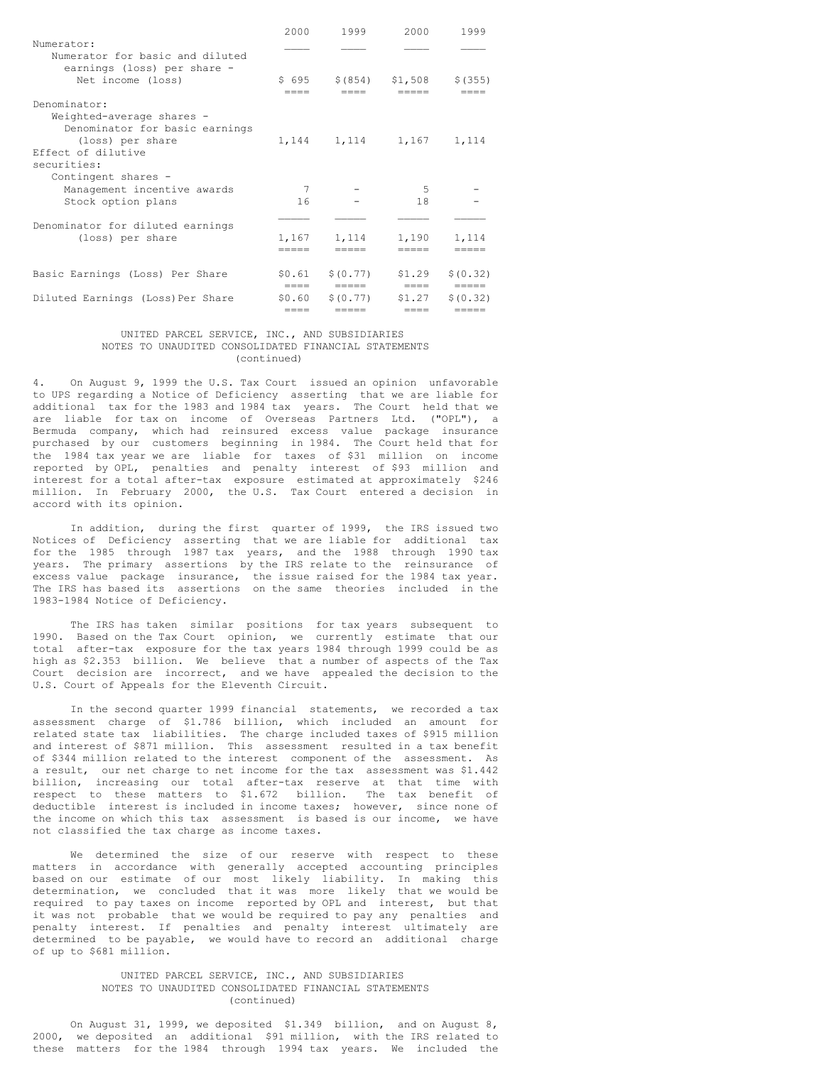|                                                                             | 2000            | 1999                     | 2000           | 1999                         |
|-----------------------------------------------------------------------------|-----------------|--------------------------|----------------|------------------------------|
| Numerator:<br>Numerator for basic and diluted                               |                 |                          |                |                              |
| earnings (loss) per share -<br>Net income (loss)                            | \$695<br>----   | \$ (854)<br>----         | \$1,508        | \$ (355)                     |
| Denominator:<br>Weighted-average shares -<br>Denominator for basic earnings |                 |                          |                |                              |
| (loss) per share<br>Effect of dilutive<br>securities:                       |                 | 1, 144 1, 114 1, 167     |                | 1,114                        |
| Contingent shares -                                                         | 7               |                          | .5             |                              |
| Management incentive awards<br>Stock option plans                           | 16              |                          | 18             |                              |
| Denominator for diluted earnings                                            |                 |                          |                |                              |
| (loss) per share                                                            | 1,167           | 1,114                    | 1,190          | 1,114                        |
| Basic Earnings (Loss) Per Share                                             | \$0.61<br>$---$ | \$ (0.77)<br>-----       | \$1.29<br>==== | \$ (0.32)<br>$=$ $=$ $=$ $=$ |
| Diluted Earnings (Loss) Per Share                                           | \$0.60<br>====  | \$ (0.77)<br>$- - - - -$ | \$1,27<br>---- | \$10.32<br>-----             |

#### UNITED PARCEL SERVICE, INC., AND SUBSIDIARIES NOTES TO UNAUDITED CONSOLIDATED FINANCIAL STATEMENTS (continued)

4. On August 9, 1999 the U.S. Tax Court issued an opinion unfavorable to UPS regarding a Notice of Deficiency asserting that we are liable for additional tax for the 1983 and 1984 tax years. The Court held that we are liable for tax on income of Overseas Partners Ltd. ("OPL"), a Bermuda company, which had reinsured excess value package insurance purchased by our customers beginning in 1984. The Court held that for the 1984 tax year we are liable for taxes of \$31 million on income reported by OPL, penalties and penalty interest of \$93 million and interest for a total after-tax exposure estimated at approximately \$246 million. In February 2000, the U.S. Tax Court entered a decision in accord with its opinion.

In addition, during the first quarter of 1999, the IRS issued two Notices of Deficiency asserting that we are liable for additional tax for the 1985 through 1987 tax years, and the 1988 through 1990 tax years. The primary assertions by the IRS relate to the reinsurance of excess value package insurance, the issue raised for the 1984 tax year. The IRS has based its assertions on the same theories included in the 1983-1984 Notice of Deficiency.

The IRS has taken similar positions for tax years subsequent to 1990. Based on the Tax Court opinion, we currently estimate that our total after-tax exposure for the tax years 1984 through 1999 could be as high as \$2.353 billion. We believe that a number of aspects of the Tax Court decision are incorrect, and we have appealed the decision to the U.S. Court of Appeals for the Eleventh Circuit.

In the second quarter 1999 financial statements, we recorded a tax assessment charge of \$1.786 billion, which included an amount for related state tax liabilities. The charge included taxes of \$915 million and interest of \$871 million. This assessment resulted in a tax benefit of \$344 million related to the interest component of the assessment. As a result, our net charge to net income for the tax assessment was \$1.442 billion, increasing our total after-tax reserve at that time with respect to these matters to \$1.672 billion. The tax benefit of deductible interest is included in income taxes; however, since none of the income on which this tax assessment is based is our income, we have not classified the tax charge as income taxes.

We determined the size of our reserve with respect to these matters in accordance with generally accepted accounting principles based on our estimate of our most likely liability. In making this determination, we concluded that it was more likely that we would be required to pay taxes on income reported by OPL and interest, but that it was not probable that we would be required to pay any penalties and penalty interest. If penalties and penalty interest ultimately are determined to be payable, we would have to record an additional charge of up to \$681 million.

## UNITED PARCEL SERVICE, INC., AND SUBSIDIARIES NOTES TO UNAUDITED CONSOLIDATED FINANCIAL STATEMENTS (continued)

On August 31, 1999, we deposited \$1.349 billion, and on August 8, 2000, we deposited an additional \$91 million, with the IRS related to these matters for the 1984 through 1994 tax years. We included the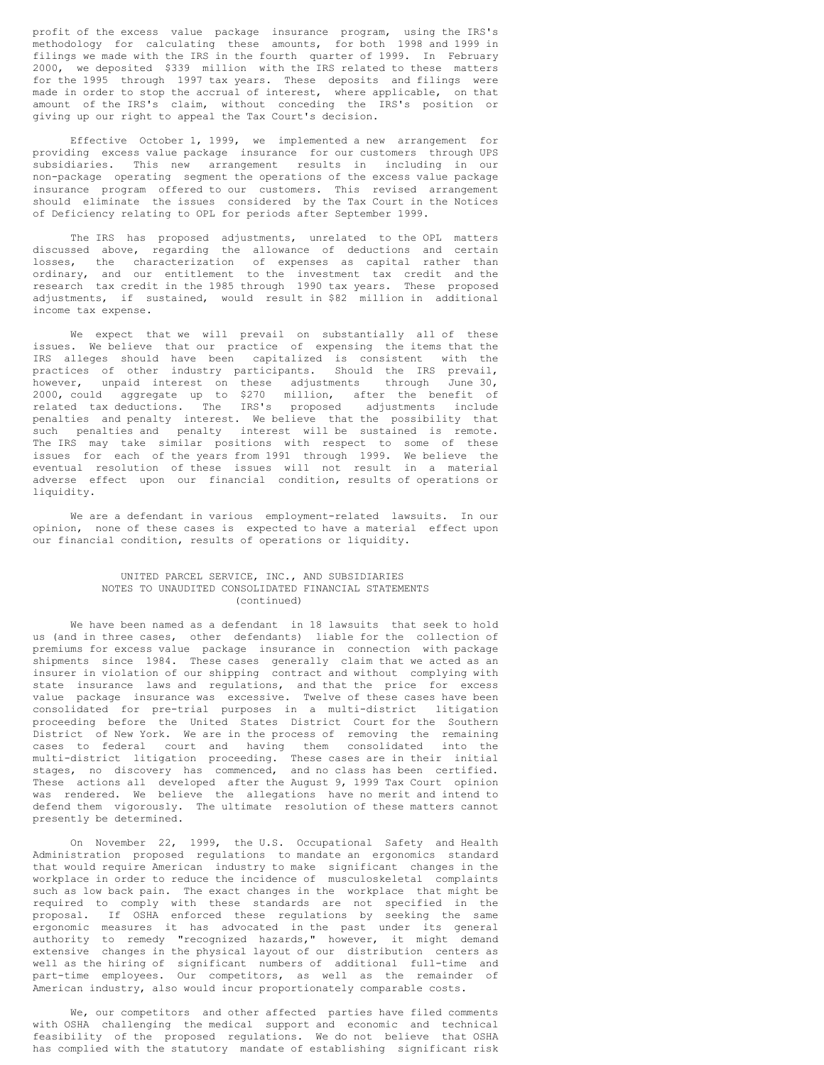profit of the excess value package insurance program, using the IRS's methodology for calculating these amounts, for both 1998 and 1999 in filings we made with the IRS in the fourth quarter of 1999. In February 2000, we deposited \$339 million with the IRS related to these matters for the 1995 through 1997 tax years. These deposits and filings were made in order to stop the accrual of interest, where applicable, on that amount of the IRS's claim, without conceding the IRS's position or giving up our right to appeal the Tax Court's decision.

Effective October 1, 1999, we implemented a new arrangement for providing excess value package insurance for our customers through UPS subsidiaries. This new arrangement results in including in our non-package operating segment the operations of the excess value package insurance program offered to our customers. This revised arrangement should eliminate the issues considered by the Tax Court in the Notices of Deficiency relating to OPL for periods after September 1999.

The IRS has proposed adjustments, unrelated to the OPL matters discussed above, regarding the allowance of deductions and certain losses, the characterization of expenses as capital rather than ordinary, and our entitlement to the investment tax credit and the research tax credit in the 1985 through 1990 tax years. These proposed adjustments, if sustained, would result in \$82 million in additional income tax expense.

We expect that we will prevail on substantially all of these issues. We believe that our practice of expensing the items that the IRS alleges should have been capitalized is consistent with the practices of other industry participants. Should the IRS prevail, however, unpaid interest on these adjustments through June 30, 2000, could aggregate up to \$270 million, after the benefit of related tax deductions. The IRS's proposed adjustments include penalties and penalty interest. We believe that the possibility that such penalties and penalty interest will be sustained is remote. The IRS may take similar positions with respect to some of these issues for each of the years from 1991 through 1999. We believe the eventual resolution of these issues will not result in a material adverse effect upon our financial condition, results of operations or liquidity.

We are a defendant in various employment-related lawsuits. In our opinion, none of these cases is expected to have a material effect upon our financial condition, results of operations or liquidity.

### UNITED PARCEL SERVICE, INC., AND SUBSIDIARIES NOTES TO UNAUDITED CONSOLIDATED FINANCIAL STATEMENTS (continued)

We have been named as a defendant in 18 lawsuits that seek to hold us (and in three cases, other defendants) liable for the collection of premiums for excess value package insurance in connection with package shipments since 1984. These cases generally claim that we acted as an insurer in violation of our shipping contract and without complying with state insurance laws and regulations, and that the price for excess value package insurance was excessive. Twelve of these cases have been consolidated for pre-trial purposes in a multi-district litigation proceeding before the United States District Court for the Southern District of New York. We are in the process of removing the remaining cases to federal court and having them consolidated into the multi-district litigation proceeding. These cases are in their initial stages, no discovery has commenced, and no class has been certified. These actions all developed after the August 9, 1999 Tax Court opinion was rendered. We believe the allegations have no merit and intend to defend them vigorously. The ultimate resolution of these matters cannot presently be determined.

On November 22, 1999, the U.S. Occupational Safety and Health Administration proposed regulations to mandate an ergonomics standard that would require American industry to make significant changes in the workplace in order to reduce the incidence of musculoskeletal complaints such as low back pain. The exact changes in the workplace that might be required to comply with these standards are not specified in the proposal. If OSHA enforced these regulations by seeking the same ergonomic measures it has advocated in the past under its general authority to remedy "recognized hazards," however, it might demand extensive changes in the physical layout of our distribution centers as well as the hiring of significant numbers of additional full-time and part-time employees. Our competitors, as well as the remainder of American industry, also would incur proportionately comparable costs.

We, our competitors and other affected parties have filed comments with OSHA challenging the medical support and economic and technical feasibility of the proposed regulations. We do not believe that OSHA has complied with the statutory mandate of establishing significant risk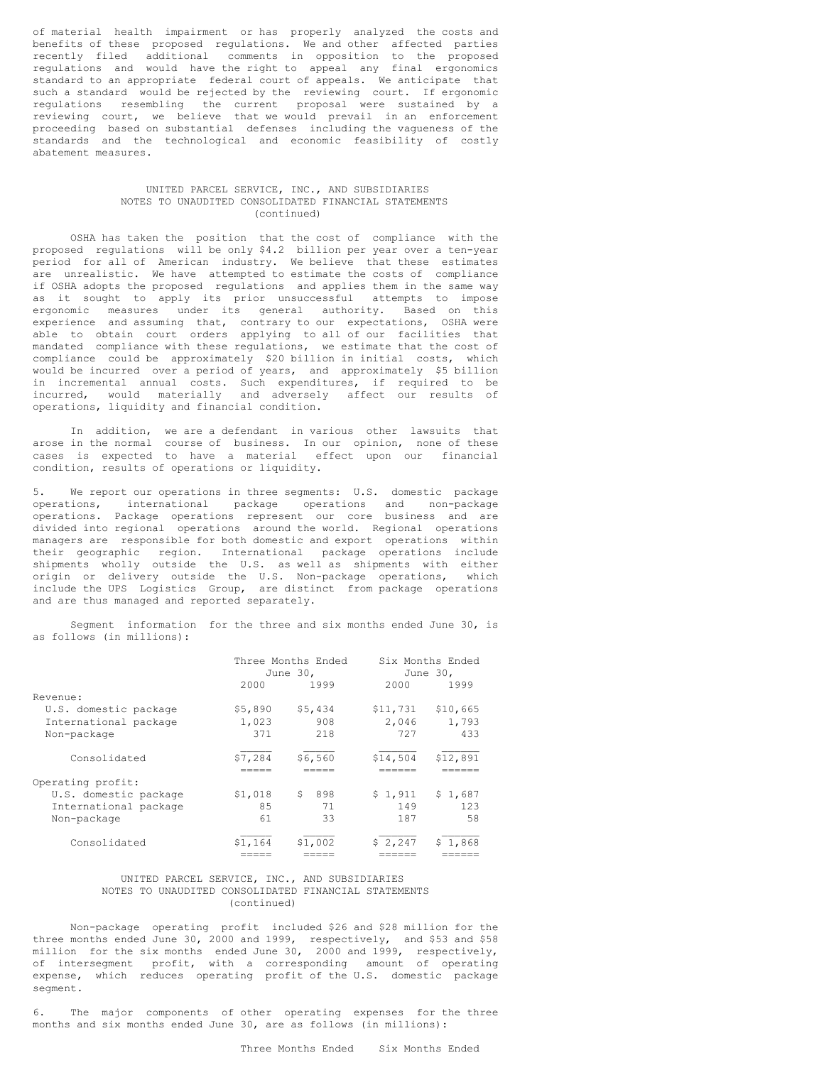of material health impairment or has properly analyzed the costs and benefits of these proposed regulations. We and other affected parties recently filed additional comments in opposition to the proposed regulations and would have the right to appeal any final ergonomics standard to an appropriate federal court of appeals. We anticipate that such a standard would be rejected by the reviewing court. If ergonomic regulations resembling the current proposal were sustained by a reviewing court, we believe that we would prevail in an enforcement proceeding based on substantial defenses including the vagueness of the standards and the technological and economic feasibility of costly abatement measures.

#### UNITED PARCEL SERVICE, INC., AND SUBSIDIARIES NOTES TO UNAUDITED CONSOLIDATED FINANCIAL STATEMENTS (continued)

OSHA has taken the position that the cost of compliance with the proposed regulations will be only \$4.2 billion per year over a ten-year period for all of American industry. We believe that these estimates are unrealistic. We have attempted to estimate the costs of compliance if OSHA adopts the proposed regulations and applies them in the same way as it sought to apply its prior unsuccessful attempts to impose ergonomic measures under its general authority. Based on this experience and assuming that, contrary to our expectations, OSHA were able to obtain court orders applying to all of our facilities that mandated compliance with these regulations, we estimate that the cost of compliance could be approximately \$20 billion in initial costs, which would be incurred over a period of years, and approximately \$5 billion in incremental annual costs. Such expenditures, if required to be incurred, would materially and adversely affect our results of operations, liquidity and financial condition.

In addition, we are a defendant in various other lawsuits that arose in the normal course of business. In our opinion, none of these cases is expected to have a material effect upon our financial condition, results of operations or liquidity.

5. We report our operations in three segments: U.S. domestic package operations, international package operations and non-package operations. Package operations represent our core business and are divided into regional operations around the world. Regional operations managers are responsible for both domestic and export operations within their geographic region. International package operations include shipments wholly outside the U.S. as well as shipments with either origin or delivery outside the U.S. Non-package operations, which include the UPS Logistics Group, are distinct from package operations and are thus managed and reported separately.

Segment information for the three and six months ended June 30, is as follows (in millions):

|                       |         | Three Months Ended |          | Six Months Ended |  |
|-----------------------|---------|--------------------|----------|------------------|--|
|                       |         | June 30.           | June 30. |                  |  |
|                       | 2000    | 1999               | 2000     | 1999             |  |
| Revenue:              |         |                    |          |                  |  |
| U.S. domestic package | \$5,890 | \$5,434            | \$11,731 | \$10,665         |  |
| International package | 1,023   | 908                | 2,046    | 1,793            |  |
| Non-package           | 371     | 218                | 727      | 433              |  |
| Consolidated          | \$7,284 | \$6,560            | \$14,504 | \$12,891         |  |
|                       |         |                    |          |                  |  |
| Operating profit:     |         |                    |          |                  |  |
| U.S. domestic package | \$1,018 | S.<br>898          | \$1.911  | \$1,687          |  |
| International package | 85      | 71                 | 149      | 123              |  |
| Non-package           | 61      | 33                 | 187      | 58               |  |
| Consolidated          | \$1,164 | \$1,002            | \$2,247  | \$1.868          |  |
|                       |         |                    |          |                  |  |

#### UNITED PARCEL SERVICE, INC., AND SUBSIDIARIES NOTES TO UNAUDITED CONSOLIDATED FINANCIAL STATEMENTS (continued)

Non-package operating profit included \$26 and \$28 million for the three months ended June 30, 2000 and 1999, respectively, and \$53 and \$58 million for the six months ended June 30, 2000 and 1999, respectively, of intersegment profit, with a corresponding amount of operating expense, which reduces operating profit of the U.S. domestic package segment.

6. The major components of other operating expenses for the three months and six months ended June 30, are as follows (in millions):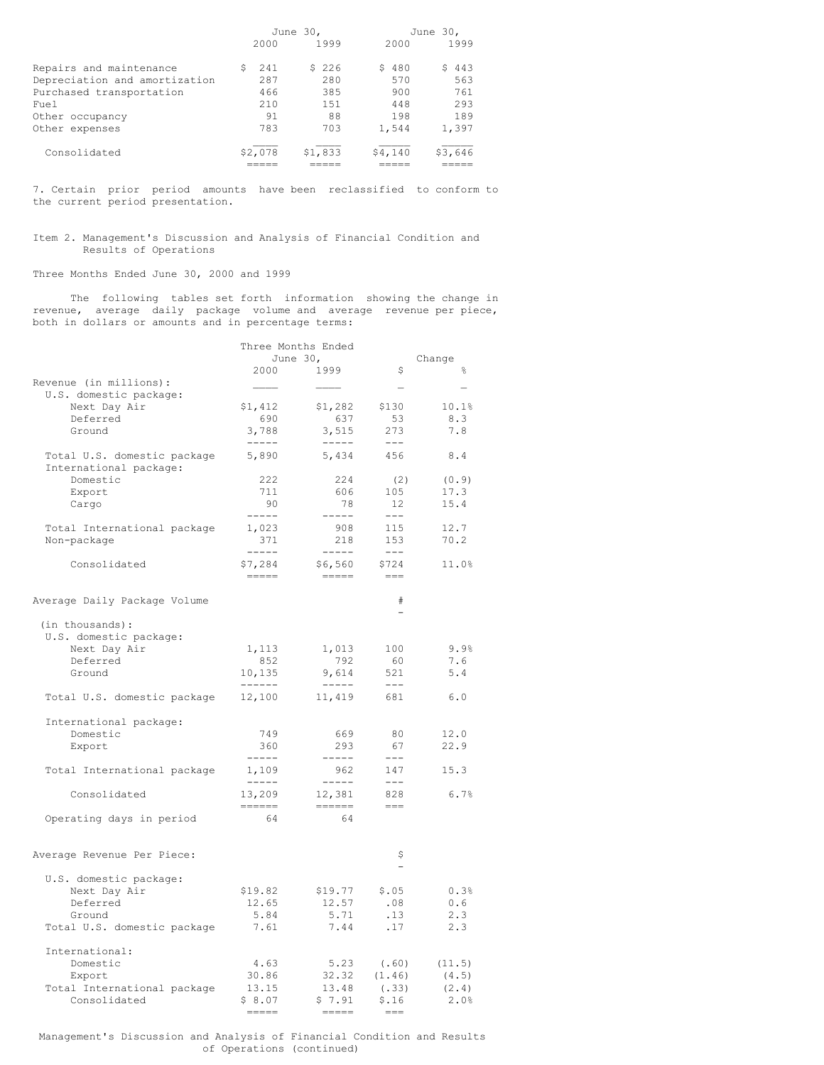|                               |          | June 30, |           | June 30, |  |  |
|-------------------------------|----------|----------|-----------|----------|--|--|
|                               | 2000     | 1999     | 2000      | 1999     |  |  |
| Repairs and maintenance       | 241<br>S | \$226    | 480<br>S. | \$443    |  |  |
| Depreciation and amortization | 287      | 280      | 570       | 563      |  |  |
| Purchased transportation      | 466      | 385      | 900       | 761      |  |  |
| Fuel                          | 210      | 1.51     | 448       | 293      |  |  |
| Other occupancy               | 91       | 88       | 198       | 189      |  |  |
| Other expenses                | 783      | 703      | 1,544     | 1,397    |  |  |
| Consolidated                  | \$2,078  | \$1,833  | \$4,140   | \$3,646  |  |  |
|                               |          |          |           |          |  |  |

7. Certain prior period amounts have been reclassified to conform to the current period presentation.

Item 2. Management's Discussion and Analysis of Financial Condition and Results of Operations

Three Months Ended June 30, 2000 and 1999

The following tables set forth information showing the change in revenue, average daily package volume and average revenue per piece, both in dollars or amounts and in percentage terms:

| June $301$<br>Change<br>\$<br>2000<br>1999<br>욲<br>Revenue (in millions):<br>$\overline{\phantom{0}}$<br>U.S. domestic package:<br>Next Day Air<br>\$1,412<br>\$1,282<br>\$130<br>10.1%<br>Deferred<br>690<br>8.3<br>637<br>53<br>3,788<br>3,515<br>273<br>7.8<br>Ground<br>$\begin{tabular}{cc} - & - & - \\ - & - & - \\ \end{tabular}$<br>$------$<br>$---$<br>5,890<br>5,434<br>456<br>Total U.S. domestic package<br>8.4<br>International package:<br>Domestic<br>222<br>224<br>(2)<br>(0.9)<br>606<br>711<br>105<br>17.3<br>Export<br>15.4<br>90<br>78<br>12<br>Cargo<br>$- - - - -$<br>$------$<br>$- - -$<br>1,023<br>908<br>115<br>12.7<br>Total International package<br>371<br>153<br>70.2<br>Non-package<br>218<br>-----<br>$- - - - - -$<br>$\qquad \qquad - -$<br>Consolidated<br>\$7,284<br>\$6,560<br>\$724<br>11.0%<br>$\qquad \qquad == ==$<br>$\qquad \qquad \displaystyle =\qquad \qquad \qquad$<br>$== =$<br>#<br>Average Daily Package Volume<br>(in thousands):<br>U.S. domestic package:<br>9.9%<br>Next Day Air<br>1,113<br>1,013<br>100<br>Deferred<br>792<br>60<br>7.6<br>852<br>Ground<br>10,135<br>9,614<br>521<br>5.4<br>------<br>$-----$<br>$- - -$<br>Total U.S. domestic package<br>12,100<br>11,419<br>681<br>6.0<br>International package:<br>749<br>80<br>12.0<br>Domestic<br>669<br>360<br>293<br>67<br>22.9<br>Export<br>$- - - - -$<br>$- - - - -$<br>$- - -$<br>1,109<br>147<br>Total International package<br>962<br>15.3<br>$\cdots\cdots\cdots$<br>$- - - - - -$<br>$-- -$<br>Consolidated<br>13,209<br>12,381<br>828<br>6.7%<br>======<br>$\frac{1}{1} \frac{1}{1} \frac{1}{1} \frac{1}{1} \frac{1}{1} \frac{1}{1} \frac{1}{1} \frac{1}{1} \frac{1}{1} \frac{1}{1} \frac{1}{1} \frac{1}{1} \frac{1}{1} \frac{1}{1} \frac{1}{1} \frac{1}{1} \frac{1}{1} \frac{1}{1} \frac{1}{1} \frac{1}{1} \frac{1}{1} \frac{1}{1} \frac{1}{1} \frac{1}{1} \frac{1}{1} \frac{1}{1} \frac{1}{1} \frac{1}{1} \frac{1}{1} \frac{1}{1} \frac{1}{1} \frac{$<br>$=$ $=$ $=$<br>64<br>64<br>Operating days in period<br>\$<br>Average Revenue Per Piece:<br>U.S. domestic package:<br>Next Day Air<br>\$19.82<br>\$19.77<br>\$.05<br>0.3%<br>12.65<br>Deferred<br>12.57<br>.08<br>0.6<br>5.71<br>5.84<br>.13<br>2.3<br>Ground<br>7.44<br>Total U.S. domestic package<br>7.61<br>.17<br>2.3<br>International:<br>Domestic<br>4.63<br>5.23<br>(.60)<br>(11.5)<br>30.86<br>32.32<br>(1.46)<br>Export<br>(4.5)<br>13.15<br>13.48<br>Total International package<br>(.33)<br>(2.4)<br>Consolidated<br>\$7.91<br>2.0%<br>\$8.07<br>\$.16<br><b>EBBEB</b><br>$= - -$ | Three Months Ended |  |  |
|-------------------------------------------------------------------------------------------------------------------------------------------------------------------------------------------------------------------------------------------------------------------------------------------------------------------------------------------------------------------------------------------------------------------------------------------------------------------------------------------------------------------------------------------------------------------------------------------------------------------------------------------------------------------------------------------------------------------------------------------------------------------------------------------------------------------------------------------------------------------------------------------------------------------------------------------------------------------------------------------------------------------------------------------------------------------------------------------------------------------------------------------------------------------------------------------------------------------------------------------------------------------------------------------------------------------------------------------------------------------------------------------------------------------------------------------------------------------------------------------------------------------------------------------------------------------------------------------------------------------------------------------------------------------------------------------------------------------------------------------------------------------------------------------------------------------------------------------------------------------------------------------------------------------------------------------------------------------------------------------------------------------------------------------------------------------------------------------------------------------------------------------------------------------------------------------------------------------------------------------------------------------------------------------------------------------------------------------------------------------------------------------------------------------------------------------------------------------------------------------------------------------------------------------------------------------------------------|--------------------|--|--|
|                                                                                                                                                                                                                                                                                                                                                                                                                                                                                                                                                                                                                                                                                                                                                                                                                                                                                                                                                                                                                                                                                                                                                                                                                                                                                                                                                                                                                                                                                                                                                                                                                                                                                                                                                                                                                                                                                                                                                                                                                                                                                                                                                                                                                                                                                                                                                                                                                                                                                                                                                                                     |                    |  |  |
|                                                                                                                                                                                                                                                                                                                                                                                                                                                                                                                                                                                                                                                                                                                                                                                                                                                                                                                                                                                                                                                                                                                                                                                                                                                                                                                                                                                                                                                                                                                                                                                                                                                                                                                                                                                                                                                                                                                                                                                                                                                                                                                                                                                                                                                                                                                                                                                                                                                                                                                                                                                     |                    |  |  |
|                                                                                                                                                                                                                                                                                                                                                                                                                                                                                                                                                                                                                                                                                                                                                                                                                                                                                                                                                                                                                                                                                                                                                                                                                                                                                                                                                                                                                                                                                                                                                                                                                                                                                                                                                                                                                                                                                                                                                                                                                                                                                                                                                                                                                                                                                                                                                                                                                                                                                                                                                                                     |                    |  |  |
|                                                                                                                                                                                                                                                                                                                                                                                                                                                                                                                                                                                                                                                                                                                                                                                                                                                                                                                                                                                                                                                                                                                                                                                                                                                                                                                                                                                                                                                                                                                                                                                                                                                                                                                                                                                                                                                                                                                                                                                                                                                                                                                                                                                                                                                                                                                                                                                                                                                                                                                                                                                     |                    |  |  |
|                                                                                                                                                                                                                                                                                                                                                                                                                                                                                                                                                                                                                                                                                                                                                                                                                                                                                                                                                                                                                                                                                                                                                                                                                                                                                                                                                                                                                                                                                                                                                                                                                                                                                                                                                                                                                                                                                                                                                                                                                                                                                                                                                                                                                                                                                                                                                                                                                                                                                                                                                                                     |                    |  |  |
|                                                                                                                                                                                                                                                                                                                                                                                                                                                                                                                                                                                                                                                                                                                                                                                                                                                                                                                                                                                                                                                                                                                                                                                                                                                                                                                                                                                                                                                                                                                                                                                                                                                                                                                                                                                                                                                                                                                                                                                                                                                                                                                                                                                                                                                                                                                                                                                                                                                                                                                                                                                     |                    |  |  |
|                                                                                                                                                                                                                                                                                                                                                                                                                                                                                                                                                                                                                                                                                                                                                                                                                                                                                                                                                                                                                                                                                                                                                                                                                                                                                                                                                                                                                                                                                                                                                                                                                                                                                                                                                                                                                                                                                                                                                                                                                                                                                                                                                                                                                                                                                                                                                                                                                                                                                                                                                                                     |                    |  |  |
|                                                                                                                                                                                                                                                                                                                                                                                                                                                                                                                                                                                                                                                                                                                                                                                                                                                                                                                                                                                                                                                                                                                                                                                                                                                                                                                                                                                                                                                                                                                                                                                                                                                                                                                                                                                                                                                                                                                                                                                                                                                                                                                                                                                                                                                                                                                                                                                                                                                                                                                                                                                     |                    |  |  |
|                                                                                                                                                                                                                                                                                                                                                                                                                                                                                                                                                                                                                                                                                                                                                                                                                                                                                                                                                                                                                                                                                                                                                                                                                                                                                                                                                                                                                                                                                                                                                                                                                                                                                                                                                                                                                                                                                                                                                                                                                                                                                                                                                                                                                                                                                                                                                                                                                                                                                                                                                                                     |                    |  |  |
|                                                                                                                                                                                                                                                                                                                                                                                                                                                                                                                                                                                                                                                                                                                                                                                                                                                                                                                                                                                                                                                                                                                                                                                                                                                                                                                                                                                                                                                                                                                                                                                                                                                                                                                                                                                                                                                                                                                                                                                                                                                                                                                                                                                                                                                                                                                                                                                                                                                                                                                                                                                     |                    |  |  |
|                                                                                                                                                                                                                                                                                                                                                                                                                                                                                                                                                                                                                                                                                                                                                                                                                                                                                                                                                                                                                                                                                                                                                                                                                                                                                                                                                                                                                                                                                                                                                                                                                                                                                                                                                                                                                                                                                                                                                                                                                                                                                                                                                                                                                                                                                                                                                                                                                                                                                                                                                                                     |                    |  |  |
|                                                                                                                                                                                                                                                                                                                                                                                                                                                                                                                                                                                                                                                                                                                                                                                                                                                                                                                                                                                                                                                                                                                                                                                                                                                                                                                                                                                                                                                                                                                                                                                                                                                                                                                                                                                                                                                                                                                                                                                                                                                                                                                                                                                                                                                                                                                                                                                                                                                                                                                                                                                     |                    |  |  |
|                                                                                                                                                                                                                                                                                                                                                                                                                                                                                                                                                                                                                                                                                                                                                                                                                                                                                                                                                                                                                                                                                                                                                                                                                                                                                                                                                                                                                                                                                                                                                                                                                                                                                                                                                                                                                                                                                                                                                                                                                                                                                                                                                                                                                                                                                                                                                                                                                                                                                                                                                                                     |                    |  |  |
|                                                                                                                                                                                                                                                                                                                                                                                                                                                                                                                                                                                                                                                                                                                                                                                                                                                                                                                                                                                                                                                                                                                                                                                                                                                                                                                                                                                                                                                                                                                                                                                                                                                                                                                                                                                                                                                                                                                                                                                                                                                                                                                                                                                                                                                                                                                                                                                                                                                                                                                                                                                     |                    |  |  |
|                                                                                                                                                                                                                                                                                                                                                                                                                                                                                                                                                                                                                                                                                                                                                                                                                                                                                                                                                                                                                                                                                                                                                                                                                                                                                                                                                                                                                                                                                                                                                                                                                                                                                                                                                                                                                                                                                                                                                                                                                                                                                                                                                                                                                                                                                                                                                                                                                                                                                                                                                                                     |                    |  |  |
|                                                                                                                                                                                                                                                                                                                                                                                                                                                                                                                                                                                                                                                                                                                                                                                                                                                                                                                                                                                                                                                                                                                                                                                                                                                                                                                                                                                                                                                                                                                                                                                                                                                                                                                                                                                                                                                                                                                                                                                                                                                                                                                                                                                                                                                                                                                                                                                                                                                                                                                                                                                     |                    |  |  |
|                                                                                                                                                                                                                                                                                                                                                                                                                                                                                                                                                                                                                                                                                                                                                                                                                                                                                                                                                                                                                                                                                                                                                                                                                                                                                                                                                                                                                                                                                                                                                                                                                                                                                                                                                                                                                                                                                                                                                                                                                                                                                                                                                                                                                                                                                                                                                                                                                                                                                                                                                                                     |                    |  |  |
|                                                                                                                                                                                                                                                                                                                                                                                                                                                                                                                                                                                                                                                                                                                                                                                                                                                                                                                                                                                                                                                                                                                                                                                                                                                                                                                                                                                                                                                                                                                                                                                                                                                                                                                                                                                                                                                                                                                                                                                                                                                                                                                                                                                                                                                                                                                                                                                                                                                                                                                                                                                     |                    |  |  |
|                                                                                                                                                                                                                                                                                                                                                                                                                                                                                                                                                                                                                                                                                                                                                                                                                                                                                                                                                                                                                                                                                                                                                                                                                                                                                                                                                                                                                                                                                                                                                                                                                                                                                                                                                                                                                                                                                                                                                                                                                                                                                                                                                                                                                                                                                                                                                                                                                                                                                                                                                                                     |                    |  |  |
|                                                                                                                                                                                                                                                                                                                                                                                                                                                                                                                                                                                                                                                                                                                                                                                                                                                                                                                                                                                                                                                                                                                                                                                                                                                                                                                                                                                                                                                                                                                                                                                                                                                                                                                                                                                                                                                                                                                                                                                                                                                                                                                                                                                                                                                                                                                                                                                                                                                                                                                                                                                     |                    |  |  |
|                                                                                                                                                                                                                                                                                                                                                                                                                                                                                                                                                                                                                                                                                                                                                                                                                                                                                                                                                                                                                                                                                                                                                                                                                                                                                                                                                                                                                                                                                                                                                                                                                                                                                                                                                                                                                                                                                                                                                                                                                                                                                                                                                                                                                                                                                                                                                                                                                                                                                                                                                                                     |                    |  |  |
|                                                                                                                                                                                                                                                                                                                                                                                                                                                                                                                                                                                                                                                                                                                                                                                                                                                                                                                                                                                                                                                                                                                                                                                                                                                                                                                                                                                                                                                                                                                                                                                                                                                                                                                                                                                                                                                                                                                                                                                                                                                                                                                                                                                                                                                                                                                                                                                                                                                                                                                                                                                     |                    |  |  |
|                                                                                                                                                                                                                                                                                                                                                                                                                                                                                                                                                                                                                                                                                                                                                                                                                                                                                                                                                                                                                                                                                                                                                                                                                                                                                                                                                                                                                                                                                                                                                                                                                                                                                                                                                                                                                                                                                                                                                                                                                                                                                                                                                                                                                                                                                                                                                                                                                                                                                                                                                                                     |                    |  |  |
|                                                                                                                                                                                                                                                                                                                                                                                                                                                                                                                                                                                                                                                                                                                                                                                                                                                                                                                                                                                                                                                                                                                                                                                                                                                                                                                                                                                                                                                                                                                                                                                                                                                                                                                                                                                                                                                                                                                                                                                                                                                                                                                                                                                                                                                                                                                                                                                                                                                                                                                                                                                     |                    |  |  |
|                                                                                                                                                                                                                                                                                                                                                                                                                                                                                                                                                                                                                                                                                                                                                                                                                                                                                                                                                                                                                                                                                                                                                                                                                                                                                                                                                                                                                                                                                                                                                                                                                                                                                                                                                                                                                                                                                                                                                                                                                                                                                                                                                                                                                                                                                                                                                                                                                                                                                                                                                                                     |                    |  |  |
|                                                                                                                                                                                                                                                                                                                                                                                                                                                                                                                                                                                                                                                                                                                                                                                                                                                                                                                                                                                                                                                                                                                                                                                                                                                                                                                                                                                                                                                                                                                                                                                                                                                                                                                                                                                                                                                                                                                                                                                                                                                                                                                                                                                                                                                                                                                                                                                                                                                                                                                                                                                     |                    |  |  |
|                                                                                                                                                                                                                                                                                                                                                                                                                                                                                                                                                                                                                                                                                                                                                                                                                                                                                                                                                                                                                                                                                                                                                                                                                                                                                                                                                                                                                                                                                                                                                                                                                                                                                                                                                                                                                                                                                                                                                                                                                                                                                                                                                                                                                                                                                                                                                                                                                                                                                                                                                                                     |                    |  |  |
|                                                                                                                                                                                                                                                                                                                                                                                                                                                                                                                                                                                                                                                                                                                                                                                                                                                                                                                                                                                                                                                                                                                                                                                                                                                                                                                                                                                                                                                                                                                                                                                                                                                                                                                                                                                                                                                                                                                                                                                                                                                                                                                                                                                                                                                                                                                                                                                                                                                                                                                                                                                     |                    |  |  |
|                                                                                                                                                                                                                                                                                                                                                                                                                                                                                                                                                                                                                                                                                                                                                                                                                                                                                                                                                                                                                                                                                                                                                                                                                                                                                                                                                                                                                                                                                                                                                                                                                                                                                                                                                                                                                                                                                                                                                                                                                                                                                                                                                                                                                                                                                                                                                                                                                                                                                                                                                                                     |                    |  |  |
|                                                                                                                                                                                                                                                                                                                                                                                                                                                                                                                                                                                                                                                                                                                                                                                                                                                                                                                                                                                                                                                                                                                                                                                                                                                                                                                                                                                                                                                                                                                                                                                                                                                                                                                                                                                                                                                                                                                                                                                                                                                                                                                                                                                                                                                                                                                                                                                                                                                                                                                                                                                     |                    |  |  |
|                                                                                                                                                                                                                                                                                                                                                                                                                                                                                                                                                                                                                                                                                                                                                                                                                                                                                                                                                                                                                                                                                                                                                                                                                                                                                                                                                                                                                                                                                                                                                                                                                                                                                                                                                                                                                                                                                                                                                                                                                                                                                                                                                                                                                                                                                                                                                                                                                                                                                                                                                                                     |                    |  |  |
|                                                                                                                                                                                                                                                                                                                                                                                                                                                                                                                                                                                                                                                                                                                                                                                                                                                                                                                                                                                                                                                                                                                                                                                                                                                                                                                                                                                                                                                                                                                                                                                                                                                                                                                                                                                                                                                                                                                                                                                                                                                                                                                                                                                                                                                                                                                                                                                                                                                                                                                                                                                     |                    |  |  |
|                                                                                                                                                                                                                                                                                                                                                                                                                                                                                                                                                                                                                                                                                                                                                                                                                                                                                                                                                                                                                                                                                                                                                                                                                                                                                                                                                                                                                                                                                                                                                                                                                                                                                                                                                                                                                                                                                                                                                                                                                                                                                                                                                                                                                                                                                                                                                                                                                                                                                                                                                                                     |                    |  |  |
|                                                                                                                                                                                                                                                                                                                                                                                                                                                                                                                                                                                                                                                                                                                                                                                                                                                                                                                                                                                                                                                                                                                                                                                                                                                                                                                                                                                                                                                                                                                                                                                                                                                                                                                                                                                                                                                                                                                                                                                                                                                                                                                                                                                                                                                                                                                                                                                                                                                                                                                                                                                     |                    |  |  |
|                                                                                                                                                                                                                                                                                                                                                                                                                                                                                                                                                                                                                                                                                                                                                                                                                                                                                                                                                                                                                                                                                                                                                                                                                                                                                                                                                                                                                                                                                                                                                                                                                                                                                                                                                                                                                                                                                                                                                                                                                                                                                                                                                                                                                                                                                                                                                                                                                                                                                                                                                                                     |                    |  |  |
|                                                                                                                                                                                                                                                                                                                                                                                                                                                                                                                                                                                                                                                                                                                                                                                                                                                                                                                                                                                                                                                                                                                                                                                                                                                                                                                                                                                                                                                                                                                                                                                                                                                                                                                                                                                                                                                                                                                                                                                                                                                                                                                                                                                                                                                                                                                                                                                                                                                                                                                                                                                     |                    |  |  |
|                                                                                                                                                                                                                                                                                                                                                                                                                                                                                                                                                                                                                                                                                                                                                                                                                                                                                                                                                                                                                                                                                                                                                                                                                                                                                                                                                                                                                                                                                                                                                                                                                                                                                                                                                                                                                                                                                                                                                                                                                                                                                                                                                                                                                                                                                                                                                                                                                                                                                                                                                                                     |                    |  |  |
|                                                                                                                                                                                                                                                                                                                                                                                                                                                                                                                                                                                                                                                                                                                                                                                                                                                                                                                                                                                                                                                                                                                                                                                                                                                                                                                                                                                                                                                                                                                                                                                                                                                                                                                                                                                                                                                                                                                                                                                                                                                                                                                                                                                                                                                                                                                                                                                                                                                                                                                                                                                     |                    |  |  |
|                                                                                                                                                                                                                                                                                                                                                                                                                                                                                                                                                                                                                                                                                                                                                                                                                                                                                                                                                                                                                                                                                                                                                                                                                                                                                                                                                                                                                                                                                                                                                                                                                                                                                                                                                                                                                                                                                                                                                                                                                                                                                                                                                                                                                                                                                                                                                                                                                                                                                                                                                                                     |                    |  |  |
|                                                                                                                                                                                                                                                                                                                                                                                                                                                                                                                                                                                                                                                                                                                                                                                                                                                                                                                                                                                                                                                                                                                                                                                                                                                                                                                                                                                                                                                                                                                                                                                                                                                                                                                                                                                                                                                                                                                                                                                                                                                                                                                                                                                                                                                                                                                                                                                                                                                                                                                                                                                     |                    |  |  |
|                                                                                                                                                                                                                                                                                                                                                                                                                                                                                                                                                                                                                                                                                                                                                                                                                                                                                                                                                                                                                                                                                                                                                                                                                                                                                                                                                                                                                                                                                                                                                                                                                                                                                                                                                                                                                                                                                                                                                                                                                                                                                                                                                                                                                                                                                                                                                                                                                                                                                                                                                                                     |                    |  |  |
|                                                                                                                                                                                                                                                                                                                                                                                                                                                                                                                                                                                                                                                                                                                                                                                                                                                                                                                                                                                                                                                                                                                                                                                                                                                                                                                                                                                                                                                                                                                                                                                                                                                                                                                                                                                                                                                                                                                                                                                                                                                                                                                                                                                                                                                                                                                                                                                                                                                                                                                                                                                     |                    |  |  |
|                                                                                                                                                                                                                                                                                                                                                                                                                                                                                                                                                                                                                                                                                                                                                                                                                                                                                                                                                                                                                                                                                                                                                                                                                                                                                                                                                                                                                                                                                                                                                                                                                                                                                                                                                                                                                                                                                                                                                                                                                                                                                                                                                                                                                                                                                                                                                                                                                                                                                                                                                                                     |                    |  |  |
|                                                                                                                                                                                                                                                                                                                                                                                                                                                                                                                                                                                                                                                                                                                                                                                                                                                                                                                                                                                                                                                                                                                                                                                                                                                                                                                                                                                                                                                                                                                                                                                                                                                                                                                                                                                                                                                                                                                                                                                                                                                                                                                                                                                                                                                                                                                                                                                                                                                                                                                                                                                     |                    |  |  |
|                                                                                                                                                                                                                                                                                                                                                                                                                                                                                                                                                                                                                                                                                                                                                                                                                                                                                                                                                                                                                                                                                                                                                                                                                                                                                                                                                                                                                                                                                                                                                                                                                                                                                                                                                                                                                                                                                                                                                                                                                                                                                                                                                                                                                                                                                                                                                                                                                                                                                                                                                                                     |                    |  |  |

Management's Discussion and Analysis of Financial Condition and Results of Operations (continued)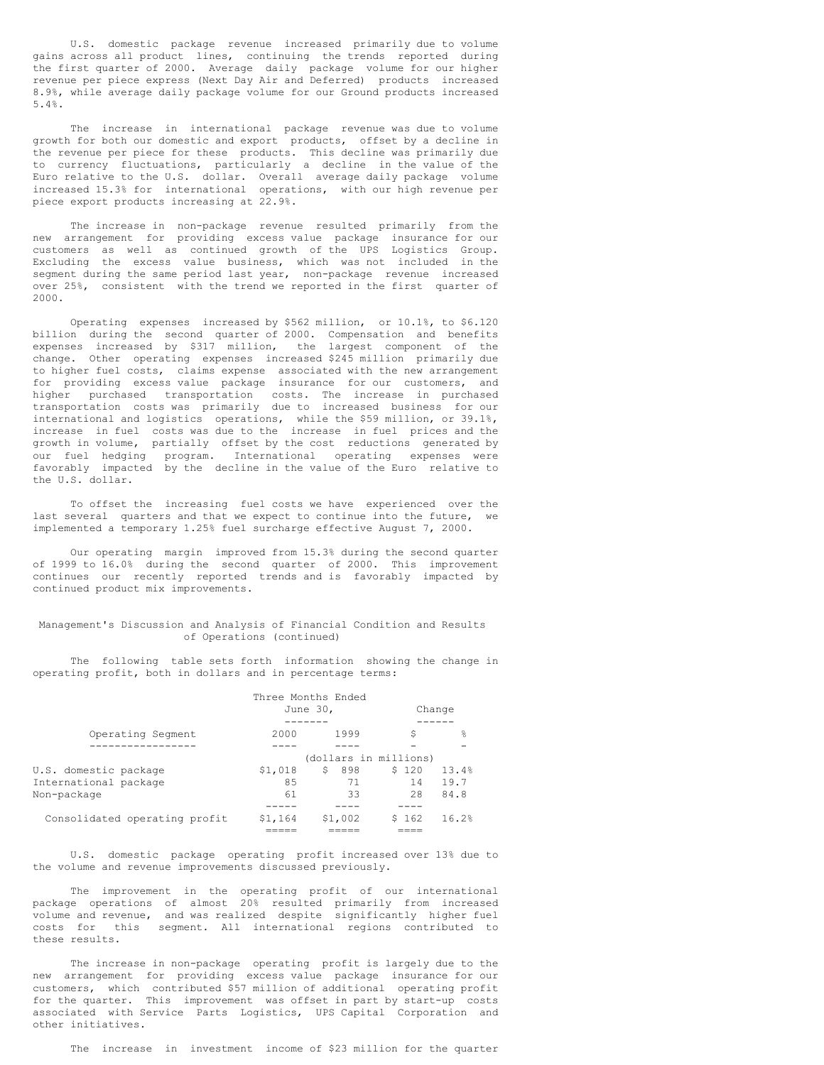U.S. domestic package revenue increased primarily due to volume gains across all product lines, continuing the trends reported during the first quarter of 2000. Average daily package volume for our higher revenue per piece express (Next Day Air and Deferred) products increased 8.9%, while average daily package volume for our Ground products increased 5.4%.

The increase in international package revenue was due to volume growth for both our domestic and export products, offset by a decline in the revenue per piece for these products. This decline was primarily due to currency fluctuations, particularly a decline in the value of the Euro relative to the U.S. dollar. Overall average daily package volume increased 15.3% for international operations, with our high revenue per piece export products increasing at 22.9%.

The increase in non-package revenue resulted primarily from the new arrangement for providing excess value package insurance for our customers as well as continued growth of the UPS Logistics Group. Excluding the excess value business, which was not included in the segment during the same period last year, non-package revenue increased over 25%, consistent with the trend we reported in the first quarter of 2000.

Operating expenses increased by \$562 million, or 10.1%, to \$6.120 billion during the second quarter of 2000. Compensation and benefits expenses increased by \$317 million, the largest component of the change. Other operating expenses increased \$245 million primarily due to higher fuel costs, claims expense associated with the new arrangement for providing excess value package insurance for our customers, and higher purchased transportation costs. The increase in purchased transportation costs was primarily due to increased business for our international and logistics operations, while the \$59 million, or 39.1%, increase in fuel costs was due to the increase in fuel prices and the growth in volume, partially offset by the cost reductions generated by our fuel hedging program. International operating expenses were favorably impacted by the decline in the value of the Euro relative to the U.S. dollar.

To offset the increasing fuel costs we have experienced over the last several quarters and that we expect to continue into the future, we implemented a temporary 1.25% fuel surcharge effective August 7, 2000.

Our operating margin improved from 15.3% during the second quarter of 1999 to 16.0% during the second quarter of 2000. This improvement continues our recently reported trends and is favorably impacted by continued product mix improvements.

#### Management's Discussion and Analysis of Financial Condition and Results of Operations (continued)

The following table sets forth information showing the change in operating profit, both in dollars and in percentage terms:

|                               |          | Three Months Ended    |        |       |
|-------------------------------|----------|-----------------------|--------|-------|
|                               | June 30, |                       | Change |       |
|                               |          |                       |        |       |
| Operating Segment             | 2000     | 1999                  | \$     | 욲     |
|                               |          |                       |        |       |
|                               |          | (dollars in millions) |        |       |
| U.S. domestic package         | \$1,018  | 898<br>\$             | \$120  | 13.4% |
| International package         | 85       | 71                    | 14     | 19.7  |
| Non-package                   | 61       | 33                    | 28     | 84.8  |
|                               |          |                       |        |       |
| Consolidated operating profit | \$1,164  | \$1,002               | \$162  | 16.2% |
|                               |          |                       |        |       |

U.S. domestic package operating profit increased over 13% due to the volume and revenue improvements discussed previously.

The improvement in the operating profit of our international package operations of almost 20% resulted primarily from increased volume and revenue, and was realized despite significantly higher fuel costs for this segment. All international regions contributed to these results.

The increase in non-package operating profit is largely due to the new arrangement for providing excess value package insurance for our customers, which contributed \$57 million of additional operating profit for the quarter. This improvement was offset in part by start-up costs associated with Service Parts Logistics, UPS Capital Corporation and other initiatives.

The increase in investment income of \$23 million for the quarter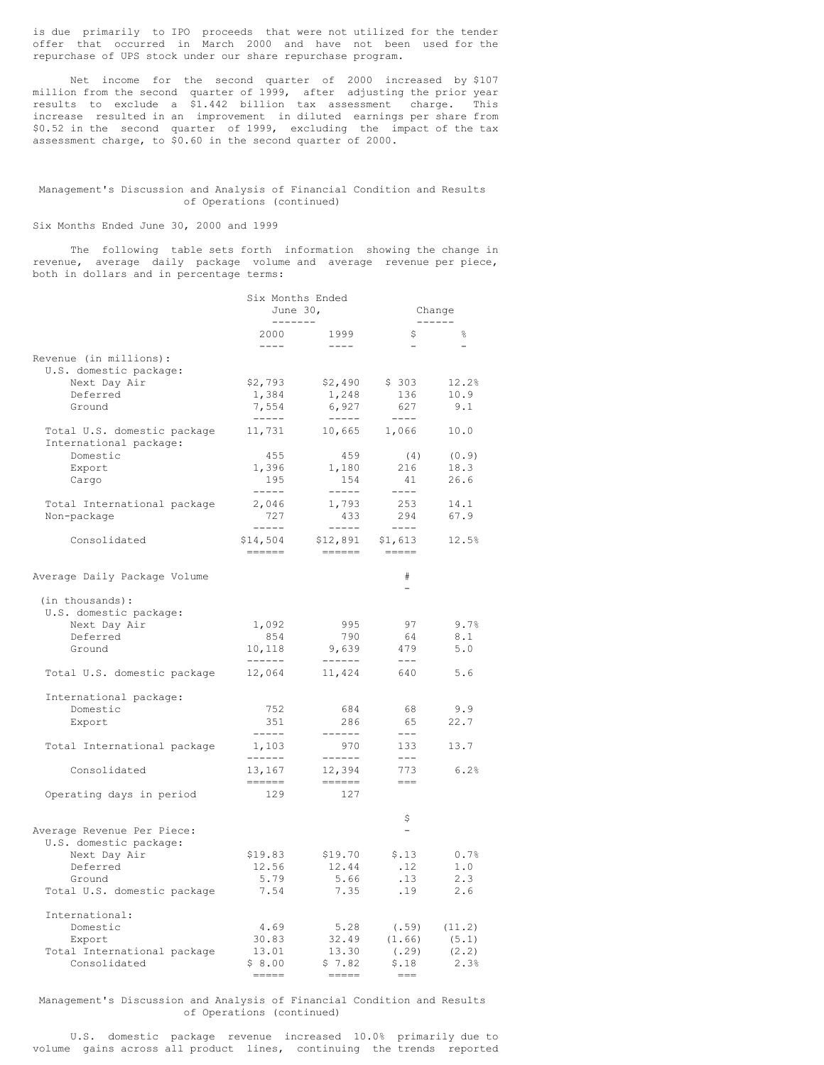is due primarily to IPO proceeds that were not utilized for the tender offer that occurred in March 2000 and have not been used for the repurchase of UPS stock under our share repurchase program.

Net income for the second quarter of 2000 increased by \$107 million from the second quarter of 1999, after adjusting the prior year results to exclude a \$1.442 billion tax assessment charge. This increase resulted in an improvement in diluted earnings per share from \$0.52 in the second quarter of 1999, excluding the impact of the tax assessment charge, to \$0.60 in the second quarter of 2000.

#### Management's Discussion and Analysis of Financial Condition and Results of Operations (continued)

#### Six Months Ended June 30, 2000 and 1999

The following table sets forth information showing the change in revenue, average daily package volume and average revenue per piece, both in dollars and in percentage terms:

|                                                                                                                           | Six Months Ended<br>June $301$<br>-------             |                                                                                                           | Change<br>------                                                                                                                                                                                                                                                                                                                                                                                                                                                                                                                                       |                                       |  |
|---------------------------------------------------------------------------------------------------------------------------|-------------------------------------------------------|-----------------------------------------------------------------------------------------------------------|--------------------------------------------------------------------------------------------------------------------------------------------------------------------------------------------------------------------------------------------------------------------------------------------------------------------------------------------------------------------------------------------------------------------------------------------------------------------------------------------------------------------------------------------------------|---------------------------------------|--|
|                                                                                                                           | 2000<br>$- - - -$                                     | 1999<br>$- - - - -$                                                                                       | \$                                                                                                                                                                                                                                                                                                                                                                                                                                                                                                                                                     | 읗                                     |  |
| Revenue (in millions):<br>U.S. domestic package:<br>Next Day Air<br>Deferred<br>Ground                                    | \$2,793<br>1,384<br>7,554<br>$------$                 | \$2,490<br>1,248<br>6,927<br>$\cdots\cdots\cdots$                                                         | \$303<br>136<br>627<br>$- - - - -$                                                                                                                                                                                                                                                                                                                                                                                                                                                                                                                     | 12.2%<br>10.9<br>9.1                  |  |
| Total U.S. domestic package<br>International package:<br>Domestic<br>Export<br>Cargo<br>Total International package       | 11,731<br>455<br>1,396<br>195<br>$- - - - -$<br>2,046 | 10,665<br>459<br>1,180<br>154<br>$\begin{tabular}{cccccc} - & - & - & - \\ \hline \end{tabular}$<br>1,793 | 1,066<br>(4)<br>216<br>41<br>$---$<br>253                                                                                                                                                                                                                                                                                                                                                                                                                                                                                                              | 10.0<br>(0.9)<br>18.3<br>26.6<br>14.1 |  |
| Non-package<br>Consolidated                                                                                               | 727<br>$- - - - -$<br>\$14,504<br><b>HEEEE</b>        | 433<br>$- - - - - -$<br>\$12,891<br>$=$ $=$ $=$ $=$ $=$                                                   | 294<br>$- - - - -$<br>\$1,613<br>$\begin{tabular}{ll} \multicolumn{3}{l}{{\color{blue}\textbf{m}}} & \multicolumn{3}{l}{\color{blue}\textbf{m}} & \multicolumn{3}{l}{\color{blue}\textbf{m}} & \multicolumn{3}{l}{\color{blue}\textbf{m}} \\ \multicolumn{3}{l}{\color{blue}\textbf{m}} & \multicolumn{3}{l}{\color{blue}\textbf{m}} & \multicolumn{3}{l}{\color{blue}\textbf{m}} & \multicolumn{3}{l}{\color{blue}\textbf{m}} & \multicolumn{3}{l}{\color{blue}\textbf{m}} & \multicolumn{3}{l}{\color{blue}\textbf{m}} \\ \multicolumn{3}{l}{\color$ | 67.9<br>12.5%                         |  |
| Average Daily Package Volume                                                                                              |                                                       |                                                                                                           | #<br>$\overline{a}$                                                                                                                                                                                                                                                                                                                                                                                                                                                                                                                                    |                                       |  |
| (in thousands):<br>U.S. domestic package:<br>Next Day Air<br>Deferred<br>Ground<br>Total U.S. domestic package            | 1,092<br>854<br>10,118<br>-------<br>12,064           | 995<br>790<br>9,639<br>11,424                                                                             | 97<br>64<br>479<br>$---$<br>640                                                                                                                                                                                                                                                                                                                                                                                                                                                                                                                        | 9.7%<br>8.1<br>5.0<br>5.6             |  |
| International package:<br>Domestic<br>Export<br>Total International package                                               | 752<br>351<br>-----<br>1,103                          | 684<br>286<br>------<br>970                                                                               | 68<br>65<br>$\qquad \qquad - -$<br>133                                                                                                                                                                                                                                                                                                                                                                                                                                                                                                                 | 9.9<br>22.7<br>13.7                   |  |
| Consolidated<br>Operating days in period                                                                                  | ------<br>13,167<br>------<br>129                     | $- - - - - -$<br>12,394<br>$=$ $=$ $=$ $=$ $=$<br>127                                                     | $\qquad \qquad - -$<br>773<br>$===$                                                                                                                                                                                                                                                                                                                                                                                                                                                                                                                    | 6.2%                                  |  |
| Average Revenue Per Piece:<br>U.S. domestic package:<br>Next Day Air<br>Deferred<br>Ground<br>Total U.S. domestic package | \$19.83<br>12.56<br>5.79<br>7.54                      | \$19.70<br>12.44<br>5.66<br>7.35                                                                          | \$<br>$\overline{\phantom{0}}$<br>\$.13<br>.12<br>.13<br>.19                                                                                                                                                                                                                                                                                                                                                                                                                                                                                           | 0.7%<br>1.0<br>2.3<br>2.6             |  |
| International:<br>Domestic<br>Export<br>Total International package<br>Consolidated                                       | 4.69<br>30.83<br>13.01<br>\$8.00                      | 5.28<br>32.49<br>13.30<br>\$7.82<br>$\frac{1}{1}$                                                         | (.59)<br>(1.66)<br>(.29)<br>\$.18<br>$=$ $=$                                                                                                                                                                                                                                                                                                                                                                                                                                                                                                           | (11.2)<br>(5.1)<br>(2.2)<br>2.3%      |  |

#### Management's Discussion and Analysis of Financial Condition and Results of Operations (continued)

U.S. domestic package revenue increased 10.0% primarily due to volume gains across all product lines, continuing the trends reported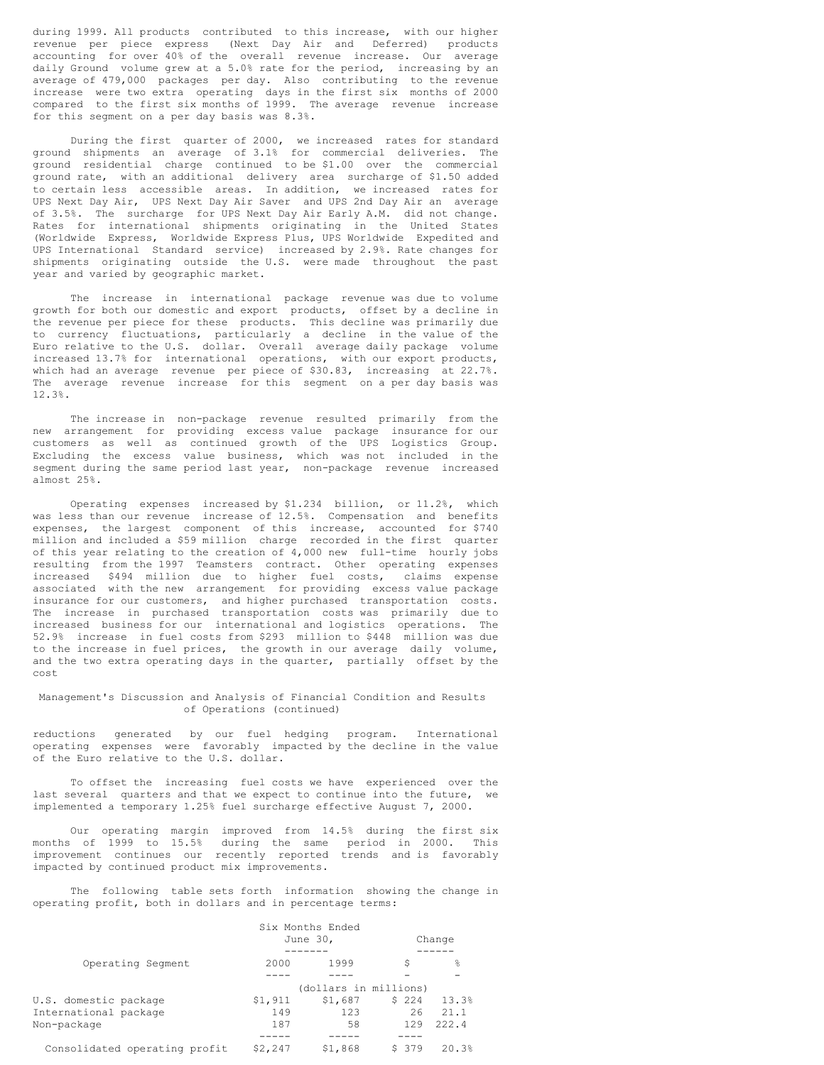during 1999. All products contributed to this increase, with our higher revenue per piece express (Next Day Air and Deferred) products accounting for over 40% of the overall revenue increase. Our average daily Ground volume grew at a 5.0% rate for the period, increasing by an average of 479,000 packages per day. Also contributing to the revenue increase were two extra operating days in the first six months of 2000 compared to the first six months of 1999. The average revenue increase for this segment on a per day basis was 8.3%.

During the first quarter of 2000, we increased rates for standard ground shipments an average of 3.1% for commercial deliveries. The ground residential charge continued to be \$1.00 over the commercial ground rate, with an additional delivery area surcharge of \$1.50 added to certain less accessible areas. In addition, we increased rates for UPS Next Day Air, UPS Next Day Air Saver and UPS 2nd Day Air an average of 3.5%. The surcharge for UPS Next Day Air Early A.M. did not change. Rates for international shipments originating in the United States (Worldwide Express, Worldwide Express Plus, UPS Worldwide Expedited and UPS International Standard service) increased by 2.9%. Rate changes for shipments originating outside the U.S. were made throughout the past year and varied by geographic market.

The increase in international package revenue was due to volume growth for both our domestic and export products, offset by a decline in the revenue per piece for these products. This decline was primarily due to currency fluctuations, particularly a decline in the value of the Euro relative to the U.S. dollar. Overall average daily package volume increased 13.7% for international operations, with our export products, which had an average revenue per piece of \$30.83, increasing at 22.7%. The average revenue increase for this segment on a per day basis was 12.3%.

The increase in non-package revenue resulted primarily from the new arrangement for providing excess value package insurance for our customers as well as continued growth of the UPS Logistics Group. Excluding the excess value business, which was not included in the segment during the same period last year, non-package revenue increased almost 25%.

Operating expenses increased by \$1.234 billion, or 11.2%, which was less than our revenue increase of 12.5%. Compensation and benefits expenses, the largest component of this increase, accounted for \$740 million and included a \$59 million charge recorded in the first quarter of this year relating to the creation of 4,000 new full-time hourly jobs resulting from the 1997 Teamsters contract. Other operating expenses increased \$494 million due to higher fuel costs, claims expense associated with the new arrangement for providing excess value package insurance for our customers, and higher purchased transportation costs. The increase in purchased transportation costs was primarily due to increased business for our international and logistics operations. The 52.9% increase in fuel costs from \$293 million to \$448 million was due to the increase in fuel prices, the growth in our average daily volume, and the two extra operating days in the quarter, partially offset by the cost

## Management's Discussion and Analysis of Financial Condition and Results of Operations (continued)

reductions generated by our fuel hedging program. International operating expenses were favorably impacted by the decline in the value of the Euro relative to the U.S. dollar.

To offset the increasing fuel costs we have experienced over the last several quarters and that we expect to continue into the future, we implemented a temporary 1.25% fuel surcharge effective August 7, 2000.

Our operating margin improved from 14.5% during the first six months of 1999 to 15.5% during the same period in 2000. This improvement continues our recently reported trends and is favorably impacted by continued product mix improvements.

The following table sets forth information showing the change in operating profit, both in dollars and in percentage terms:

|                               | Six Months Ended |                       |        |       |  |
|-------------------------------|------------------|-----------------------|--------|-------|--|
|                               |                  | June 30,              | Change |       |  |
|                               |                  |                       |        |       |  |
| Operating Segment             | 2000             | 1999                  | S      | 욲     |  |
|                               |                  |                       |        |       |  |
|                               |                  | (dollars in millions) |        |       |  |
| U.S. domestic package         | \$1,911          | \$1,687               | \$224  | 13.3% |  |
| International package         | 149              | 123                   | 26     | 21.1  |  |
| Non-package                   | 187              | 58                    | 129    | 222.4 |  |
|                               |                  |                       |        |       |  |
| Consolidated operating profit | \$2,247          | \$1,868               | \$ 379 | 20.3% |  |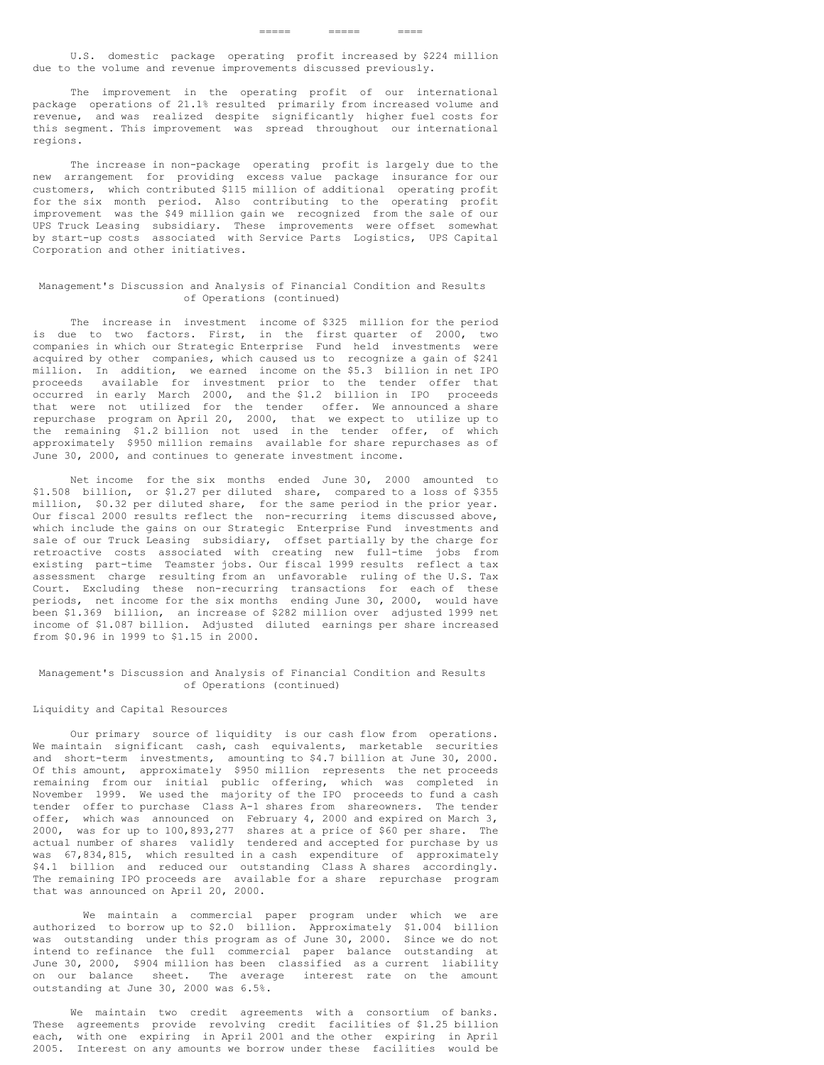U.S. domestic package operating profit increased by \$224 million due to the volume and revenue improvements discussed previously.

The improvement in the operating profit of our international package operations of 21.1% resulted primarily from increased volume and revenue, and was realized despite significantly higher fuel costs for this segment. This improvement was spread throughout our international regions.

The increase in non-package operating profit is largely due to the new arrangement for providing excess value package insurance for our customers, which contributed \$115 million of additional operating profit for the six month period. Also contributing to the operating profit improvement was the \$49 million gain we recognized from the sale of our UPS Truck Leasing subsidiary. These improvements were offset somewhat by start-up costs associated with Service Parts Logistics, UPS Capital Corporation and other initiatives.

#### Management's Discussion and Analysis of Financial Condition and Results of Operations (continued)

The increase in investment income of \$325 million for the period is due to two factors. First, in the first quarter of 2000, two companies in which our Strategic Enterprise Fund held investments were acquired by other companies, which caused us to recognize a gain of \$241 million. In addition, we earned income on the \$5.3 billion in net IPO proceeds available for investment prior to the tender offer that occurred in early March 2000, and the \$1.2 billion in IPO proceeds that were not utilized for the tender offer. We announced a share repurchase program on April 20, 2000, that we expect to utilize up to the remaining \$1.2 billion not used in the tender offer, of which approximately \$950 million remains available for share repurchases as of June 30, 2000, and continues to generate investment income.

Net income for the six months ended June 30, 2000 amounted to \$1.508 billion, or \$1.27 per diluted share, compared to a loss of \$355 million, \$0.32 per diluted share, for the same period in the prior year. Our fiscal 2000 results reflect the non-recurring items discussed above, which include the gains on our Strategic Enterprise Fund investments and sale of our Truck Leasing subsidiary, offset partially by the charge for retroactive costs associated with creating new full-time jobs from existing part-time Teamster jobs. Our fiscal 1999 results reflect a tax assessment charge resulting from an unfavorable ruling of the U.S. Tax Court. Excluding these non-recurring transactions for each of these periods, net income for the six months ending June 30, 2000, would have been \$1.369 billion, an increase of \$282 million over adjusted 1999 net income of \$1.087 billion. Adjusted diluted earnings per share increased from \$0.96 in 1999 to \$1.15 in 2000.

#### Management's Discussion and Analysis of Financial Condition and Results of Operations (continued)

#### Liquidity and Capital Resources

Our primary source of liquidity is our cash flow from operations. We maintain significant cash, cash equivalents, marketable securities and short-term investments, amounting to \$4.7 billion at June 30, 2000. Of this amount, approximately \$950 million represents the net proceeds remaining from our initial public offering, which was completed in November 1999. We used the majority of the IPO proceeds to fund a cash tender offer to purchase Class A-1 shares from shareowners. The tender offer, which was announced on February 4, 2000 and expired on March 3, 2000, was for up to 100,893,277 shares at a price of \$60 per share. The actual number of shares validly tendered and accepted for purchase by us was 67,834,815, which resulted in a cash expenditure of approximately \$4.1 billion and reduced our outstanding Class A shares accordingly. The remaining IPO proceeds are available for a share repurchase program that was announced on April 20, 2000.

We maintain a commercial paper program under which we are authorized to borrow up to \$2.0 billion. Approximately \$1.004 billion was outstanding under this program as of June 30, 2000. Since we do not intend to refinance the full commercial paper balance outstanding at June 30, 2000, \$904 million has been classified as a current liability on our balance sheet. The average interest rate on the amount outstanding at June 30, 2000 was 6.5%.

We maintain two credit agreements with a consortium of banks. These agreements provide revolving credit facilities of \$1.25 billion each, with one expiring in April 2001 and the other expiring in April 2005. Interest on any amounts we borrow under these facilities would be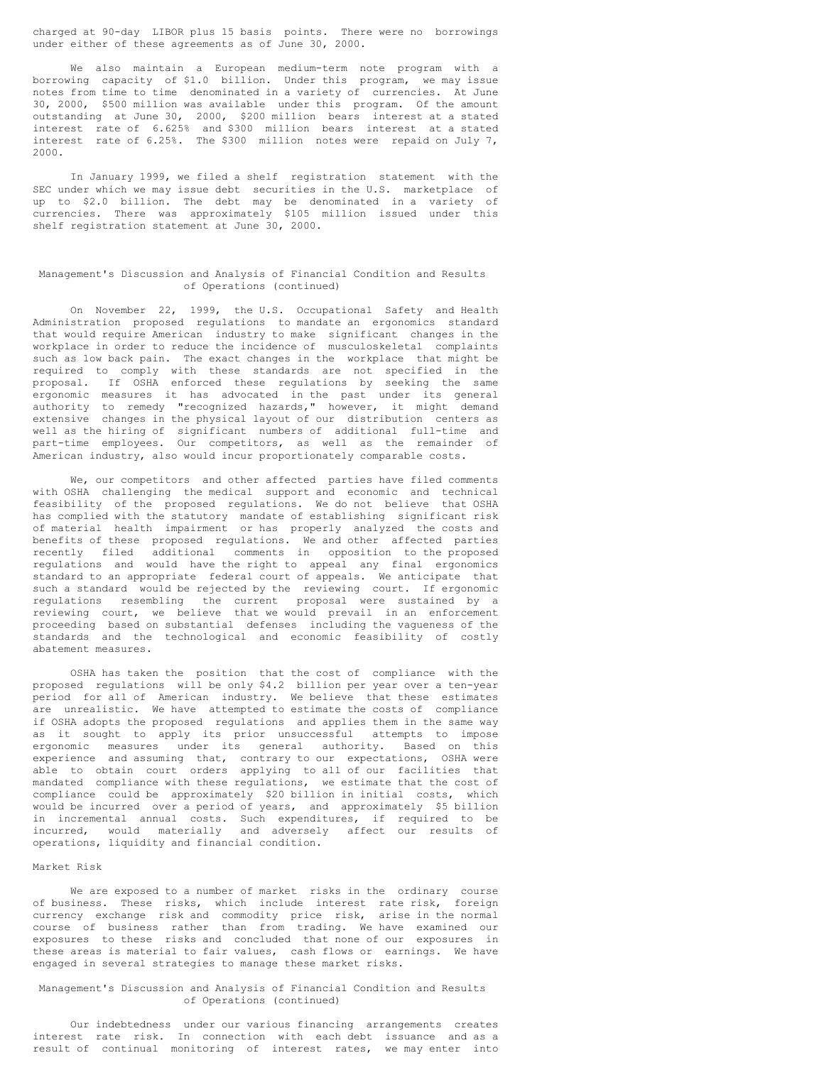charged at 90-day LIBOR plus 15 basis points. There were no borrowings under either of these agreements as of June 30, 2000.

We also maintain a European medium-term note program with a borrowing capacity of \$1.0 billion. Under this program, we may issue notes from time to time denominated in a variety of currencies. At June 30, 2000, \$500 million was available under this program. Of the amount outstanding at June 30, 2000, \$200 million bears interest at a stated interest rate of 6.625% and \$300 million bears interest at a stated interest rate of  $6.25$ %. The \$300 million notes were repaid on July 7, 2000.

In January 1999, we filed a shelf registration statement with the SEC under which we may issue debt securities in the U.S. marketplace of up to \$2.0 billion. The debt may be denominated in a variety of currencies. There was approximately \$105 million issued under this shelf registration statement at June 30, 2000.

#### Management's Discussion and Analysis of Financial Condition and Results of Operations (continued)

On November 22, 1999, the U.S. Occupational Safety and Health Administration proposed regulations to mandate an ergonomics standard that would require American industry to make significant changes in the workplace in order to reduce the incidence of musculoskeletal complaints such as low back pain. The exact changes in the workplace that might be required to comply with these standards are not specified in the proposal. If OSHA enforced these regulations by seeking the same ergonomic measures it has advocated in the past under its general authority to remedy "recognized hazards," however, it might demand extensive changes in the physical layout of our distribution centers as well as the hiring of significant numbers of additional full-time and part-time employees. Our competitors, as well as the remainder of American industry, also would incur proportionately comparable costs.

We, our competitors and other affected parties have filed comments with OSHA challenging the medical support and economic and technical feasibility of the proposed regulations. We do not believe that OSHA has complied with the statutory mandate of establishing significant risk of material health impairment or has properly analyzed the costs and benefits of these proposed regulations. We and other affected parties recently filed additional comments in opposition to the proposed regulations and would have the right to appeal any final ergonomics standard to an appropriate federal court of appeals. We anticipate that such a standard would be rejected by the reviewing court. If ergonomic regulations resembling the current proposal were sustained by a reviewing court, we believe that we would prevail in an enforcement proceeding based on substantial defenses including the vagueness of the standards and the technological and economic feasibility of costly abatement measures.

OSHA has taken the position that the cost of compliance with the proposed regulations will be only \$4.2 billion per year over a ten-year period for all of American industry. We believe that these estimates are unrealistic. We have attempted to estimate the costs of compliance if OSHA adopts the proposed regulations and applies them in the same way as it sought to apply its prior unsuccessful attempts to impose ergonomic measures under its general authority. Based on this experience and assuming that, contrary to our expectations, OSHA were able to obtain court orders applying to all of our facilities that mandated compliance with these regulations, we estimate that the cost of compliance could be approximately \$20 billion in initial costs, which would be incurred over a period of years, and approximately \$5 billion in incremental annual costs. Such expenditures, if required to be incurred, would materially and adversely affect our results of operations, liquidity and financial condition.

# Market Risk

We are exposed to a number of market risks in the ordinary course of business. These risks, which include interest rate risk, foreign currency exchange risk and commodity price risk, arise in the normal course of business rather than from trading. We have examined our exposures to these risks and concluded that none of our exposures in these areas is material to fair values, cash flows or earnings. We have engaged in several strategies to manage these market risks.

#### Management's Discussion and Analysis of Financial Condition and Results of Operations (continued)

Our indebtedness under our various financing arrangements creates interest rate risk. In connection with each debt issuance and as a result of continual monitoring of interest rates, we may enter into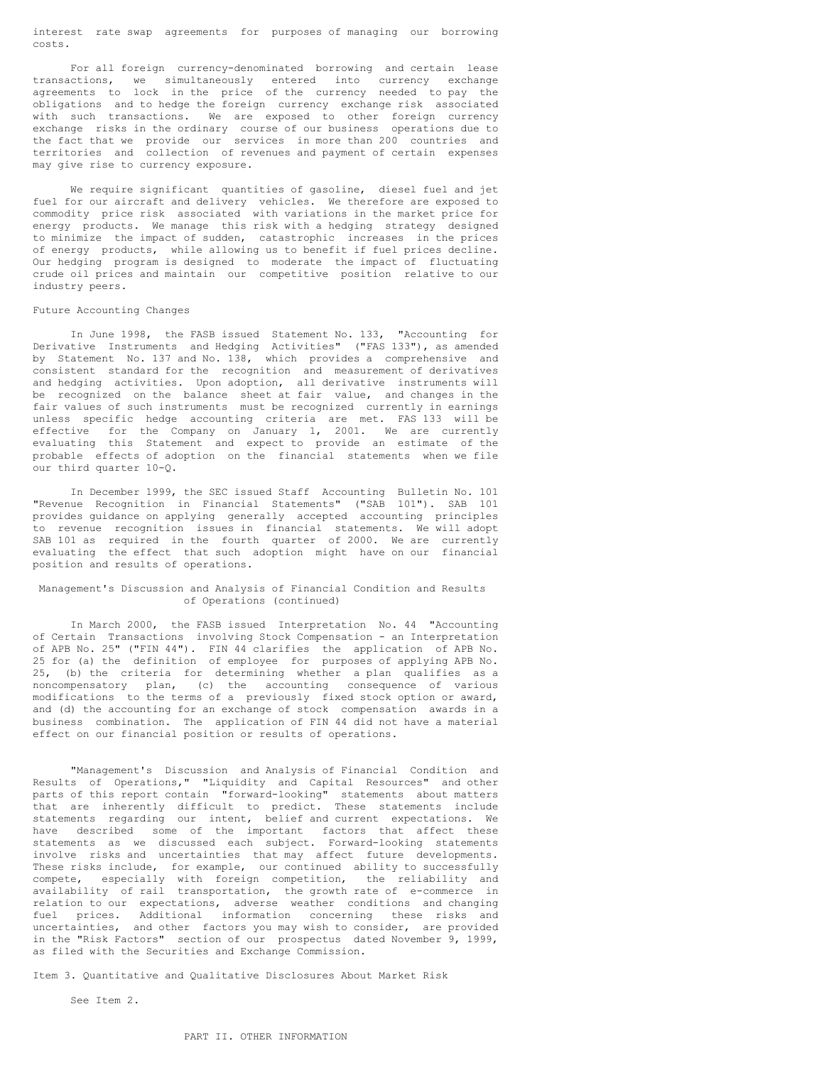interest rate swap agreements for purposes of managing our borrowing costs.

For all foreign currency-denominated borrowing and certain lease transactions, we simultaneously entered into currency exchange agreements to lock in the price of the currency needed to pay the obligations and to hedge the foreign currency exchange risk associated with such transactions. We are exposed to other foreign currency exchange risks in the ordinary course of our business operations due to the fact that we provide our services in more than 200 countries and territories and collection of revenues and payment of certain expenses may give rise to currency exposure.

We require significant quantities of gasoline, diesel fuel and jet fuel for our aircraft and delivery vehicles. We therefore are exposed to commodity price risk associated with variations in the market price for energy products. We manage this risk with a hedging strategy designed to minimize the impact of sudden, catastrophic increases in the prices of energy products, while allowing us to benefit if fuel prices decline. Our hedging program is designed to moderate the impact of fluctuating crude oil prices and maintain our competitive position relative to our industry peers.

#### Future Accounting Changes

In June 1998, the FASB issued Statement No. 133, "Accounting for Derivative Instruments and Hedging Activities" ("FAS 133"), as amended by Statement No. 137 and No. 138, which provides a comprehensive and consistent standard for the recognition and measurement of derivatives and hedging activities. Upon adoption, all derivative instruments will be recognized on the balance sheet at fair value, and changes in the fair values of such instruments must be recognized currently in earnings unless specific hedge accounting criteria are met. FAS 133 will be effective for the Company on January 1, 2001. We are currently evaluating this Statement and expect to provide an estimate of the probable effects of adoption on the financial statements when we file our third quarter 10-Q.

In December 1999, the SEC issued Staff Accounting Bulletin No. 101 "Revenue Recognition in Financial Statements" ("SAB 101"). SAB 101 provides guidance on applying generally accepted accounting principles to revenue recognition issues in financial statements. We will adopt SAB 101 as required in the fourth quarter of 2000. We are currently evaluating the effect that such adoption might have on our financial position and results of operations.

#### Management's Discussion and Analysis of Financial Condition and Results of Operations (continued)

In March 2000, the FASB issued Interpretation No. 44 "Accounting of Certain Transactions involving Stock Compensation - an Interpretation of APB No. 25" ("FIN 44"). FIN 44 clarifies the application of APB No. 25 for (a) the definition of employee for purposes of applying APB No. 25, (b) the criteria for determining whether a plan qualifies as a noncompensatory plan, (c) the accounting consequence of various modifications to the terms of a previously fixed stock option or award, and (d) the accounting for an exchange of stock compensation awards in a business combination. The application of FIN 44 did not have a material effect on our financial position or results of operations.

"Management's Discussion and Analysis of Financial Condition and Results of Operations," "Liquidity and Capital Resources" and other parts of this report contain "forward-looking" statements about matters that are inherently difficult to predict. These statements include statements regarding our intent, belief and current expectations. We have described some of the important factors that affect these statements as we discussed each subject. Forward-looking statements involve risks and uncertainties that may affect future developments. These risks include, for example, our continued ability to successfully compete, especially with foreign competition, the reliability and availability of rail transportation, the growth rate of e-commerce in relation to our expectations, adverse weather conditions and changing fuel prices. Additional information concerning these risks and uncertainties, and other factors you may wish to consider, are provided in the "Risk Factors" section of our prospectus dated November 9, 1999, as filed with the Securities and Exchange Commission.

Item 3. Quantitative and Qualitative Disclosures About Market Risk

See Item 2.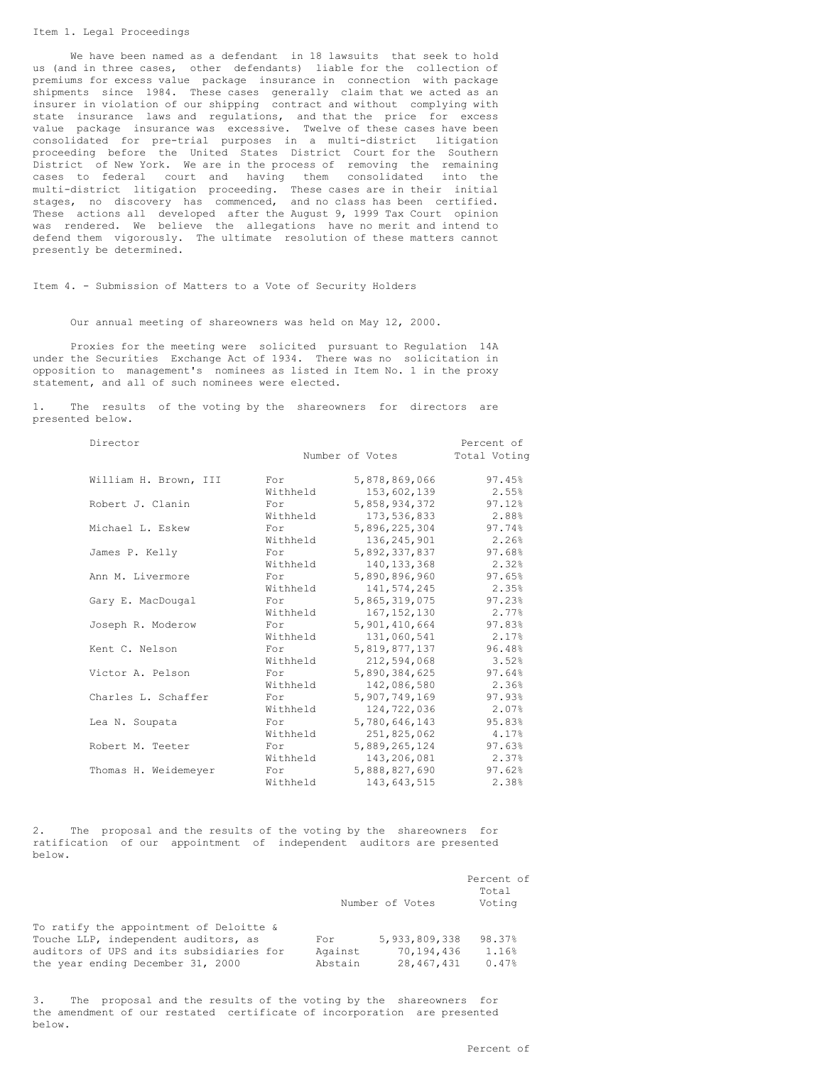#### Item 1. Legal Proceedings

We have been named as a defendant in 18 lawsuits that seek to hold us (and in three cases, other defendants) liable for the collection of premiums for excess value package insurance in connection with package shipments since 1984. These cases generally claim that we acted as an insurer in violation of our shipping contract and without complying with state insurance laws and regulations, and that the price for excess value package insurance was excessive. Twelve of these cases have been consolidated for pre-trial purposes in a multi-district litigation proceeding before the United States District Court for the Southern District of New York. We are in the process of removing the remaining cases to federal court and having them consolidated into the multi-district litigation proceeding. These cases are in their initial stages, no discovery has commenced, and no class has been certified. These actions all developed after the August 9, 1999 Tax Court opinion was rendered. We believe the allegations have no merit and intend to defend them vigorously. The ultimate resolution of these matters cannot presently be determined.

Item 4. - Submission of Matters to a Vote of Security Holders

Our annual meeting of shareowners was held on May 12, 2000.

Proxies for the meeting were solicited pursuant to Regulation 14A under the Securities Exchange Act of 1934. There was no solicitation in opposition to management's nominees as listed in Item No. 1 in the proxy statement, and all of such nominees were elected.

1. The results of the voting by the shareowners for directors are presented below.

| Director              |          |                 | Percent of   |
|-----------------------|----------|-----------------|--------------|
|                       |          | Number of Votes | Total Voting |
| William H. Brown, III | For      | 5,878,869,066   | 97.45%       |
|                       | Withheld | 153,602,139     | 2.55%        |
| Robert J. Clanin      | For      | 5,858,934,372   | 97.12%       |
|                       | Withheld | 173,536,833     | 2.88%        |
| Michael L. Eskew      | For      | 5,896,225,304   | 97.74%       |
|                       | Withheld | 136, 245, 901   | 2.26%        |
| James P. Kelly        | For      | 5,892,337,837   | 97.68%       |
|                       | Withheld | 140, 133, 368   | 2.32%        |
| Ann M. Livermore      | For      | 5,890,896,960   | 97.65%       |
|                       | Withheld | 141,574,245     | 2.35%        |
| Gary E. MacDougal     | For      | 5,865,319,075   | 97.23%       |
|                       | Withheld | 167, 152, 130   | 2.77%        |
| Joseph R. Moderow     | For      | 5,901,410,664   | 97.83%       |
|                       | Withheld | 131,060,541     | 2.17%        |
| Kent C. Nelson        | For      | 5,819,877,137   | 96.48%       |
|                       | Withheld | 212,594,068     | 3.52%        |
| Victor A. Pelson      | For      | 5,890,384,625   | 97.64%       |
|                       | Withheld | 142,086,580     | 2.36%        |
| Charles L. Schaffer   | For      | 5,907,749,169   | 97.93%       |
|                       | Withheld | 124,722,036     | 2.07%        |
| Lea N. Soupata        | For      | 5,780,646,143   | 95.83%       |
|                       | Withheld | 251,825,062     | 4.17%        |
| Robert M. Teeter      | For      | 5,889,265,124   | 97.63%       |
|                       | Withheld | 143,206,081     | 2.37%        |
| Thomas H. Weidemeyer  | For      | 5,888,827,690   | 97.62%       |
|                       | Withheld | 143,643,515     | 2.38%        |

2. The proposal and the results of the voting by the shareowners for ratification of our appointment of independent auditors are presented below.

|                                          | Number of Votes | Percent of<br>Total<br>Voting |        |
|------------------------------------------|-----------------|-------------------------------|--------|
| To ratify the appointment of Deloitte &  |                 |                               |        |
| Touche LLP, independent auditors, as     | For             | 5, 933, 809, 338              | 98.37% |
| auditors of UPS and its subsidiaries for | Against         | 70,194,436                    | 1.16%  |
| the year ending December 31, 2000        | Abstain         | 28, 467, 431                  | 0.47%  |

3. The proposal and the results of the voting by the shareowners for the amendment of our restated certificate of incorporation are presented below.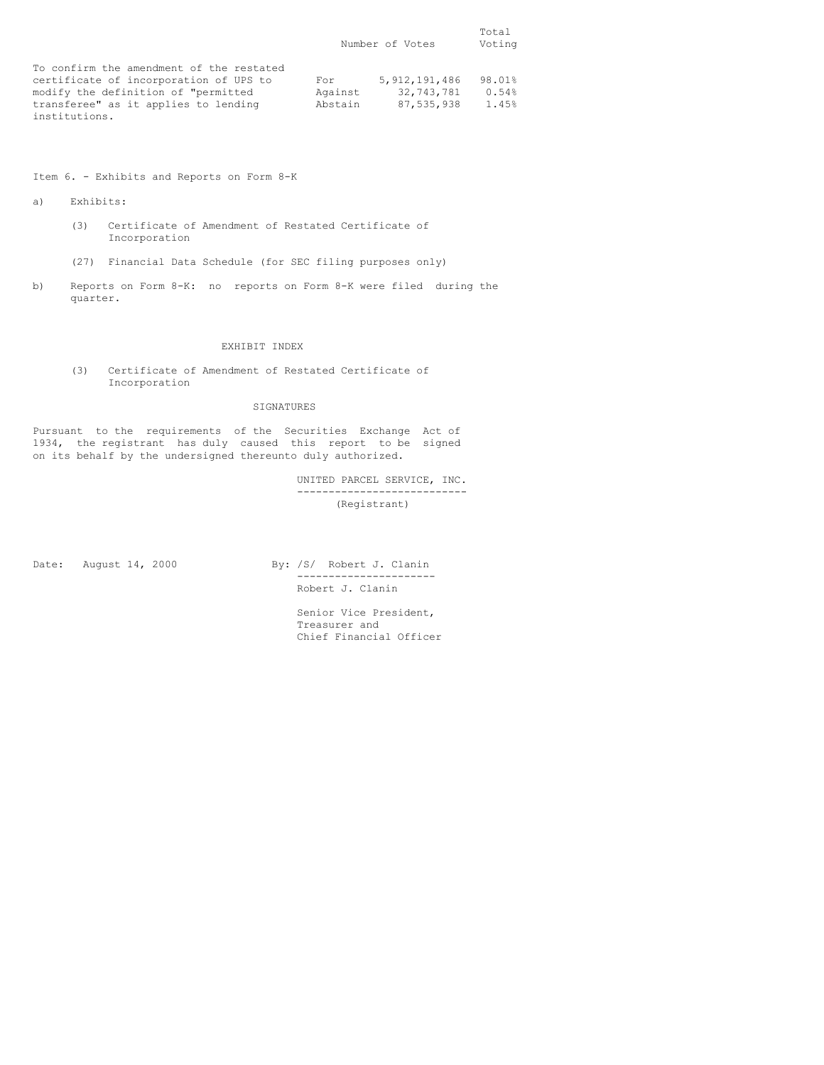|                                          | Number of Votes |                  | Total<br>Voting |
|------------------------------------------|-----------------|------------------|-----------------|
| To confirm the amendment of the restated |                 |                  |                 |
| certificate of incorporation of UPS to   | For             | 5, 912, 191, 486 | 98.01%          |
| modify the definition of "permitted      | Against         | 32,743,781       | 0.54%           |
| transferee" as it applies to lending     | Abstain         | 87,535,938       | 1.45%           |
| institutions.                            |                 |                  |                 |

Item 6. - Exhibits and Reports on Form 8-K

a) Exhibits:

- (3) Certificate of Amendment of Restated Certificate of Incorporation
- (27) Financial Data Schedule (for SEC filing purposes only)
- b) Reports on Form 8-K: no reports on Form 8-K were filed during the quarter.

# EXHIBIT INDEX

(3) Certificate of Amendment of Restated Certificate of Incorporation

# SIGNATURES

Pursuant to the requirements of the Securities Exchange Act of 1934, the registrant has duly caused this report to be signed on its behalf by the undersigned thereunto duly authorized.

> UNITED PARCEL SERVICE, INC. --------------------------- (Registrant)

Date: August 14, 2000 By: /S/ Robert J. Clanin

---------------------- Robert J. Clanin

Senior Vice President, Treasurer and Chief Financial Officer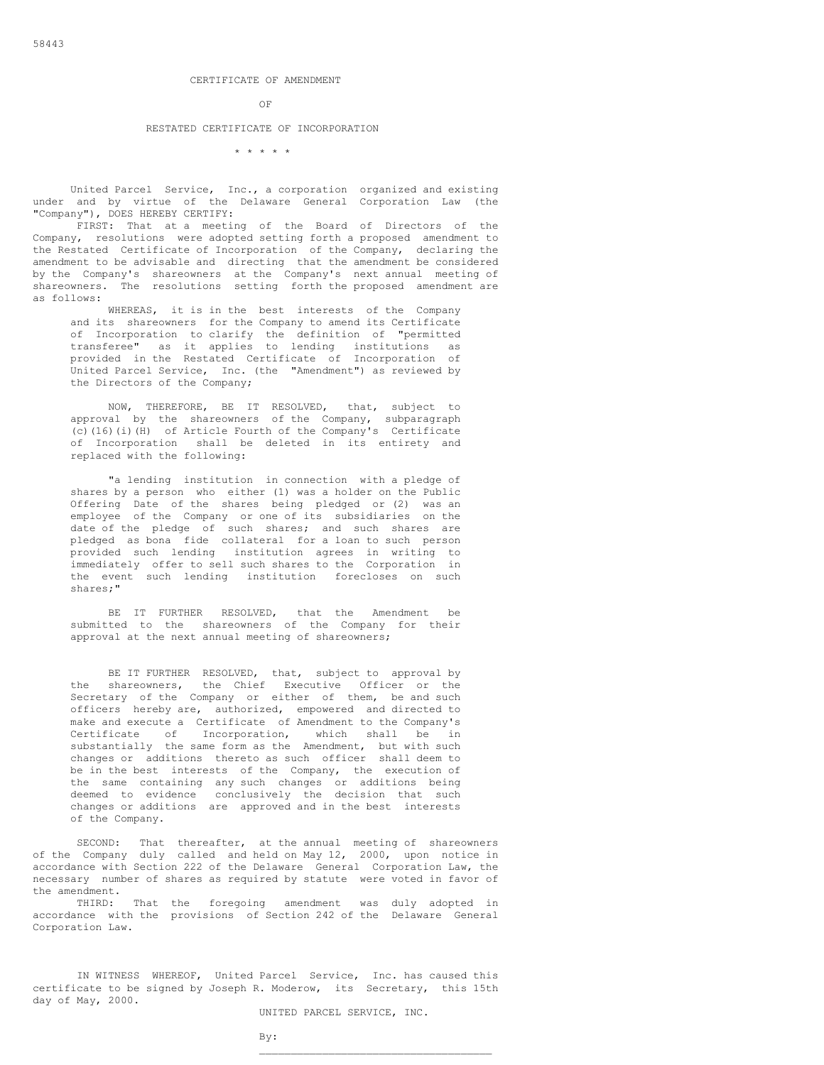#### CERTIFICATE OF AMENDMENT

OF

## RESTATED CERTIFICATE OF INCORPORATION

\* \* \* \* \*

United Parcel Service, Inc., a corporation organized and existing under and by virtue of the Delaware General Corporation Law (the "Company"), DOES HEREBY CERTIFY:

FIRST: That at a meeting of the Board of Directors of the Company, resolutions were adopted setting forth a proposed amendment to the Restated Certificate of Incorporation of the Company, declaring the amendment to be advisable and directing that the amendment be considered by the Company's shareowners at the Company's next annual meeting of shareowners. The resolutions setting forth the proposed amendment are as follows:

WHEREAS, it is in the best interests of the Company and its shareowners for the Company to amend its Certificate of Incorporation to clarify the definition of "permitted transferee" as it applies to lending institutions as provided in the Restated Certificate of Incorporation of United Parcel Service, Inc. (the "Amendment") as reviewed by the Directors of the Company;

NOW, THEREFORE, BE IT RESOLVED, that, subject to approval by the shareowners of the Company, subparagraph (c)(16)(i)(H) of Article Fourth of the Company's Certificate of Incorporation shall be deleted in its entirety and replaced with the following:

"a lending institution in connection with a pledge of shares by a person who either (1) was a holder on the Public Offering Date of the shares being pledged or (2) was an employee of the Company or one of its subsidiaries on the date of the pledge of such shares; and such shares are pledged as bona fide collateral for a loan to such person provided such lending institution agrees in writing to immediately offer to sell such shares to the Corporation in the event such lending institution forecloses on such shares;"

BE IT FURTHER RESOLVED, that the Amendment be submitted to the shareowners of the Company for their approval at the next annual meeting of shareowners;

BE IT FURTHER RESOLVED, that, subject to approval by the shareowners, the Chief Executive Officer or the Secretary of the Company or either of them, be and such officers hereby are, authorized, empowered and directed to make and execute a Certificate of Amendment to the Company's Certificate of Incorporation, which shall be in substantially the same form as the Amendment, but with such changes or additions thereto as such officer shall deem to be in the best interests of the Company, the execution of the same containing any such changes or additions being deemed to evidence conclusively the decision that such changes or additions are approved and in the best interests of the Company.

SECOND: That thereafter, at the annual meeting of shareowners of the Company duly called and held on May 12, 2000, upon notice in accordance with Section 222 of the Delaware General Corporation Law, the necessary number of shares as required by statute were voted in favor of the amendment.

THIRD: That the foregoing amendment was duly adopted in accordance with the provisions of Section 242 of the Delaware General Corporation Law.

IN WITNESS WHEREOF, United Parcel Service, Inc. has caused this certificate to be signed by Joseph R. Moderow, its Secretary, this 15th day of May, 2000.

UNITED PARCEL SERVICE, INC.

\_\_\_\_\_\_\_\_\_\_\_\_\_\_\_\_\_\_\_\_\_\_\_\_\_\_\_\_\_\_\_\_\_\_\_\_\_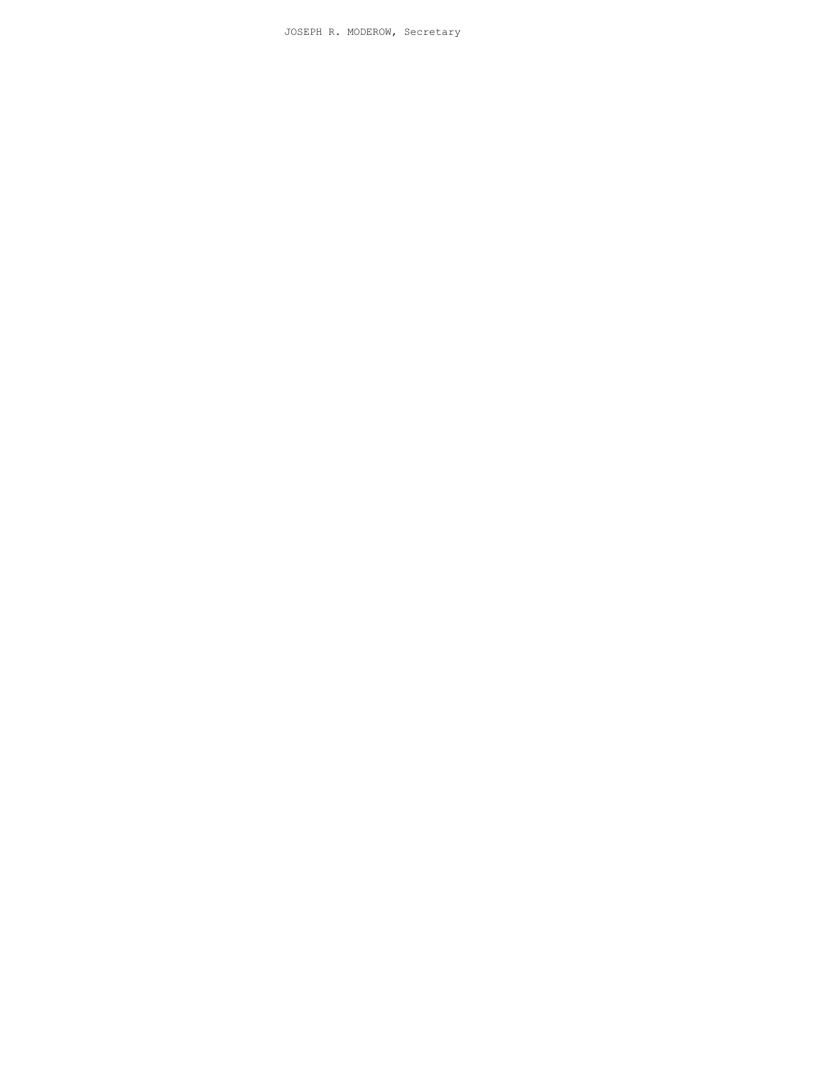JOSEPH R. MODEROW, Secretary